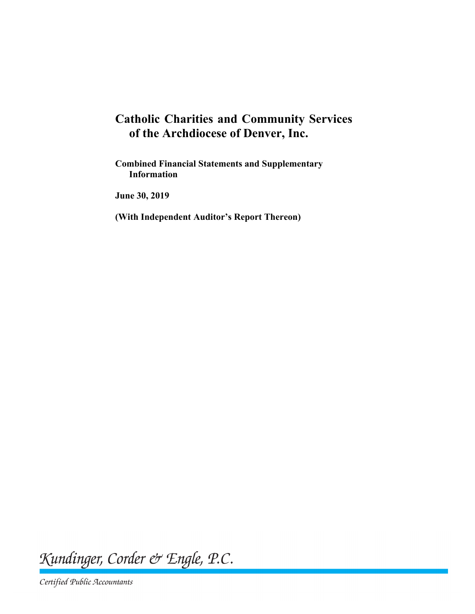# **Catholic Charities and Community Services of the Archdiocese of Denver, Inc.**

**Combined Financial Statements and Supplementary Information**

**June 30, 2019**

**(With Independent Auditor's Report Thereon)**

Kundinger, Corder & Engle, P.C.

Certified Public Accountants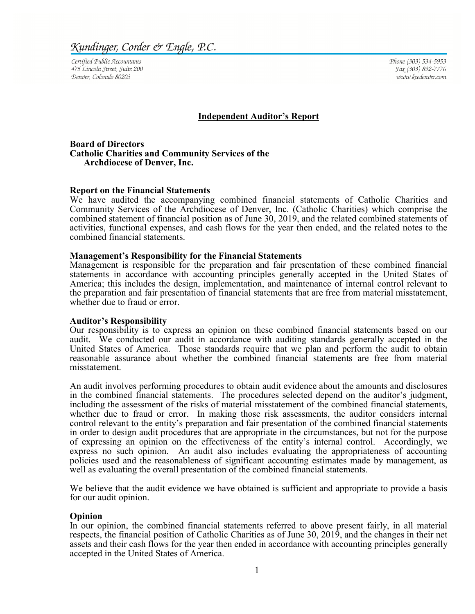Certified Public Accountants 475 Lincoln Street, Suite 200 Denver, Colorado 80203

Phone (303) 534-5953 Fax (303) 892-7776 www.kcedenver.com

#### **Independent Auditor's Report**

#### **Board of Directors Catholic Charities and Community Services of the Archdiocese of Denver, Inc.**

#### **Report on the Financial Statements**

We have audited the accompanying combined financial statements of Catholic Charities and Community Services of the Archdiocese of Denver, Inc. (Catholic Charities) which comprise the combined statement of financial position as of June 30, 2019, and the related combined statements of activities, functional expenses, and cash flows for the year then ended, and the related notes to the combined financial statements.

#### **Management's Responsibility for the Financial Statements**

Management is responsible for the preparation and fair presentation of these combined financial statements in accordance with accounting principles generally accepted in the United States of America; this includes the design, implementation, and maintenance of internal control relevant to the preparation and fair presentation of financial statements that are free from material misstatement, whether due to fraud or error.

#### **Auditor's Responsibility**

Our responsibility is to express an opinion on these combined financial statements based on our audit. We conducted our audit in accordance with auditing standards generally accepted in the United States of America. Those standards require that we plan and perform the audit to obtain reasonable assurance about whether the combined financial statements are free from material misstatement.

An audit involves performing procedures to obtain audit evidence about the amounts and disclosures in the combined financial statements. The procedures selected depend on the auditor's judgment, including the assessment of the risks of material misstatement of the combined financial statements, whether due to fraud or error. In making those risk assessments, the auditor considers internal control relevant to the entity's preparation and fair presentation of the combined financial statements in order to design audit procedures that are appropriate in the circumstances, but not for the purpose of expressing an opinion on the effectiveness of the entity's internal control. Accordingly, we express no such opinion. An audit also includes evaluating the appropriateness of accounting policies used and the reasonableness of significant accounting estimates made by management, as well as evaluating the overall presentation of the combined financial statements.

We believe that the audit evidence we have obtained is sufficient and appropriate to provide a basis for our audit opinion.

#### **Opinion**

In our opinion, the combined financial statements referred to above present fairly, in all material respects, the financial position of Catholic Charities as of June 30, 2019, and the changes in their net assets and their cash flows for the year then ended in accordance with accounting principles generally accepted in the United States of America.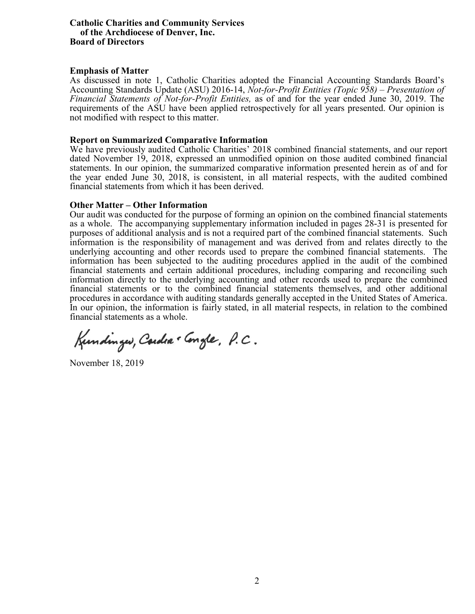#### **Catholic Charities and Community Services of the Archdiocese of Denver, Inc. Board of Directors**

#### **Emphasis of Matter**

As discussed in note 1, Catholic Charities adopted the Financial Accounting Standards Board's Accounting Standards Update (ASU) 2016-14, *Not-for-Profit Entities (Topic 958) – Presentation of Financial Statements of Not-for-Profit Entities,* as of and for the year ended June 30, 2019. The requirements of the ASU have been applied retrospectively for all years presented. Our opinion is not modified with respect to this matter.

#### **Report on Summarized Comparative Information**

We have previously audited Catholic Charities' 2018 combined financial statements, and our report dated November 19, 2018, expressed an unmodified opinion on those audited combined financial statements. In our opinion, the summarized comparative information presented herein as of and for the year ended June 30, 2018, is consistent, in all material respects, with the audited combined financial statements from which it has been derived.

#### **Other Matter – Other Information**

Our audit was conducted for the purpose of forming an opinion on the combined financial statements as a whole. The accompanying supplementary information included in pages 28-31 is presented for purposes of additional analysis and is not a required part of the combined financial statements. Such information is the responsibility of management and was derived from and relates directly to the underlying accounting and other records used to prepare the combined financial statements. The information has been subjected to the auditing procedures applied in the audit of the combined financial statements and certain additional procedures, including comparing and reconciling such information directly to the underlying accounting and other records used to prepare the combined financial statements or to the combined financial statements themselves, and other additional procedures in accordance with auditing standards generally accepted in the United States of America. In our opinion, the information is fairly stated, in all material respects, in relation to the combined financial statements as a whole.

Kundinger, Cardia . Congle, P.C.

November 18, 2019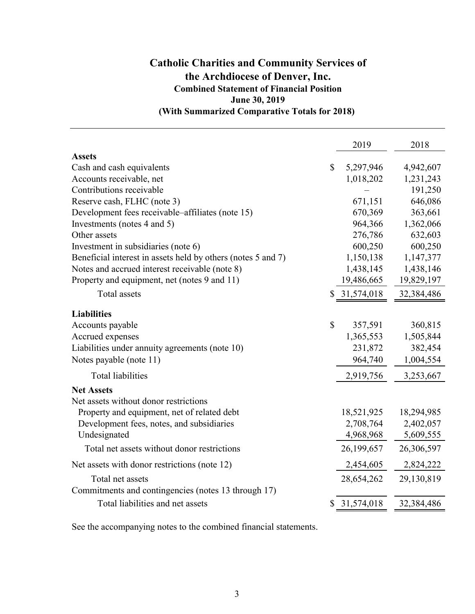# **(With Summarized Comparative Totals for 2018) Catholic Charities and Community Services of the Archdiocese of Denver, Inc. Combined Statement of Financial Position June 30, 2019**

|                                                              |              | 2019       | 2018       |
|--------------------------------------------------------------|--------------|------------|------------|
| <b>Assets</b>                                                |              |            |            |
| Cash and cash equivalents                                    | \$           | 5,297,946  | 4,942,607  |
| Accounts receivable, net                                     |              | 1,018,202  | 1,231,243  |
| Contributions receivable                                     |              |            | 191,250    |
| Reserve cash, FLHC (note 3)                                  |              | 671,151    | 646,086    |
| Development fees receivable–affiliates (note 15)             |              | 670,369    | 363,661    |
| Investments (notes 4 and 5)                                  |              | 964,366    | 1,362,066  |
| Other assets                                                 |              | 276,786    | 632,603    |
| Investment in subsidiaries (note 6)                          |              | 600,250    | 600,250    |
| Beneficial interest in assets held by others (notes 5 and 7) |              | 1,150,138  | 1,147,377  |
| Notes and accrued interest receivable (note 8)               |              | 1,438,145  | 1,438,146  |
| Property and equipment, net (notes 9 and 11)                 |              | 19,486,665 | 19,829,197 |
| <b>Total</b> assets                                          | \$           | 31,574,018 | 32,384,486 |
| <b>Liabilities</b>                                           |              |            |            |
| Accounts payable                                             | $\mathbb{S}$ | 357,591    | 360,815    |
| Accrued expenses                                             |              | 1,365,553  | 1,505,844  |
| Liabilities under annuity agreements (note 10)               |              | 231,872    | 382,454    |
| Notes payable (note 11)                                      |              | 964,740    | 1,004,554  |
| <b>Total liabilities</b>                                     |              | 2,919,756  | 3,253,667  |
| <b>Net Assets</b>                                            |              |            |            |
| Net assets without donor restrictions                        |              |            |            |
| Property and equipment, net of related debt                  |              | 18,521,925 | 18,294,985 |
| Development fees, notes, and subsidiaries                    |              | 2,708,764  | 2,402,057  |
| Undesignated                                                 |              | 4,968,968  | 5,609,555  |
| Total net assets without donor restrictions                  |              | 26,199,657 | 26,306,597 |
| Net assets with donor restrictions (note 12)                 |              | 2,454,605  | 2,824,222  |
| Total net assets                                             |              | 28,654,262 | 29,130,819 |
| Commitments and contingencies (notes 13 through 17)          |              |            |            |
| Total liabilities and net assets                             |              | 31,574,018 | 32,384,486 |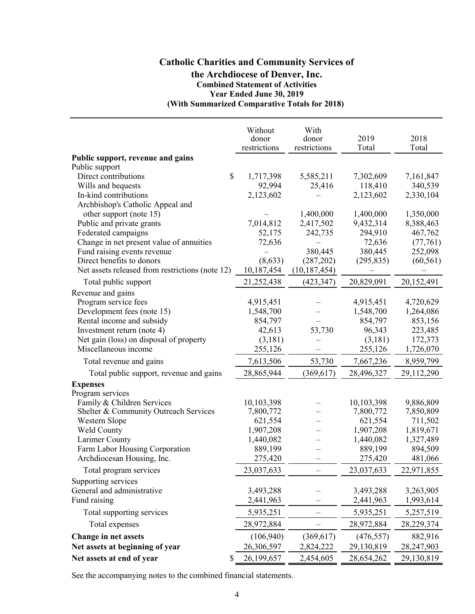### **Catholic Charities and Community Services of the Archdiocese of Denver, Inc. Combined Statement of Activities Year Ended June 30, 2019 (With Summarized Comparative Totals for 2018)**

|                                                 | Without      | With           |            |            |
|-------------------------------------------------|--------------|----------------|------------|------------|
|                                                 | donor        | donor          | 2019       | 2018       |
|                                                 | restrictions | restrictions   | Total      | Total      |
| Public support, revenue and gains               |              |                |            |            |
| Public support                                  |              |                |            |            |
| Direct contributions<br>\$                      | 1,717,398    | 5,585,211      | 7,302,609  | 7,161,847  |
| Wills and bequests                              | 92,994       | 25,416         | 118,410    | 340,539    |
| In-kind contributions                           | 2,123,602    |                | 2,123,602  | 2,330,104  |
| Archbishop's Catholic Appeal and                |              |                |            |            |
| other support (note 15)                         |              | 1,400,000      | 1,400,000  | 1,350,000  |
| Public and private grants                       | 7,014,812    | 2,417,502      | 9,432,314  | 8,388,463  |
| Federated campaigns                             | 52,175       | 242,735        | 294,910    | 467,762    |
| Change in net present value of annuities        | 72,636       |                | 72,636     | (77,761)   |
| Fund raising events revenue                     |              | 380,445        | 380,445    | 252,098    |
| Direct benefits to donors                       | (8,633)      | (287,202)      | (295, 835) | (60, 561)  |
| Net assets released from restrictions (note 12) | 10,187,454   | (10, 187, 454) |            |            |
| Total public support                            | 21,252,438   | (423, 347)     | 20,829,091 | 20,152,491 |
| Revenue and gains                               |              |                |            |            |
| Program service fees                            | 4,915,451    |                | 4,915,451  | 4,720,629  |
| Development fees (note 15)                      | 1,548,700    |                | 1,548,700  | 1,264,086  |
| Rental income and subsidy                       | 854,797      |                | 854,797    | 853,156    |
| Investment return (note 4)                      | 42,613       | 53,730         | 96,343     | 223,485    |
| Net gain (loss) on disposal of property         | (3,181)      |                | (3,181)    | 172,373    |
| Miscellaneous income                            | 255,126      |                | 255,126    | 1,726,070  |
| Total revenue and gains                         | 7,613,506    | 53,730         | 7,667,236  | 8,959,799  |
| Total public support, revenue and gains         | 28,865,944   | (369, 617)     | 28,496,327 | 29,112,290 |
| <b>Expenses</b>                                 |              |                |            |            |
| Program services                                |              |                |            |            |
| Family & Children Services                      | 10,103,398   |                | 10,103,398 | 9,886,809  |
| Shelter & Community Outreach Services           | 7,800,772    |                | 7,800,772  | 7,850,809  |
| Western Slope                                   | 621,554      |                | 621,554    | 711,502    |
| Weld County                                     | 1,907,208    |                | 1,907,208  | 1,819,671  |
| Larimer County                                  | 1,440,082    |                | 1,440,082  | 1,327,489  |
| Farm Labor Housing Corporation                  | 889,199      |                | 889,199    | 894,509    |
| Archdiocesan Housing, Inc.                      | 275,420      |                | 275,420    | 481,066    |
| Total program services                          | 23,037,633   |                | 23,037,633 | 22,971,855 |
| Supporting services                             |              |                |            |            |
| General and administrative                      | 3,493,288    |                | 3,493,288  | 3,263,905  |
| Fund raising                                    | 2,441,963    |                | 2,441,963  | 1,993,614  |
| Total supporting services                       | 5,935,251    |                | 5,935,251  | 5,257,519  |
| Total expenses                                  | 28,972,884   |                | 28,972,884 | 28,229,374 |
| Change in net assets                            | (106, 940)   | (369, 617)     | (476, 557) | 882,916    |
| Net assets at beginning of year                 | 26,306,597   | 2,824,222      | 29,130,819 | 28,247,903 |
| Net assets at end of year<br>\$                 | 26,199,657   | 2,454,605      | 28,654,262 | 29,130,819 |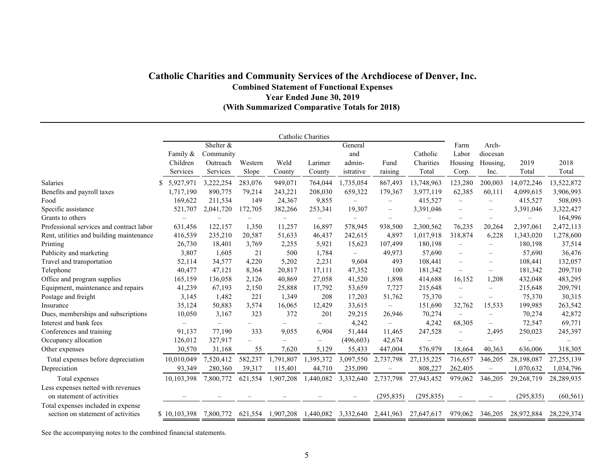### **Catholic Charities and Community Services of the Archdiocese of Denver, Inc. Combined Statement of Functional Expenses Year Ended June 30, 2019 (With Summarized Comparative Totals for 2018)**

|                                                                          |                          |                          |                          |                   | Catholic Charities       |                          |                          |                                |                          |                                |                   |            |
|--------------------------------------------------------------------------|--------------------------|--------------------------|--------------------------|-------------------|--------------------------|--------------------------|--------------------------|--------------------------------|--------------------------|--------------------------------|-------------------|------------|
|                                                                          |                          | Shelter &                |                          |                   |                          | General                  |                          |                                | Farm                     | Arch-                          |                   |            |
|                                                                          | Family &                 | Community                |                          |                   |                          | and                      |                          | Catholic                       | Labor                    | diocesan                       |                   |            |
|                                                                          | Children                 | Outreach                 | Western                  | Weld              | Larimer                  | admin-                   | Fund                     | Charities                      | Housing                  | Housing,                       | 2019              | 2018       |
|                                                                          | Services                 | Services                 | Slope                    | County            | County                   | istrative                | raising                  | Total                          | Corp.                    | Inc.                           | Total             | Total      |
| <b>Salaries</b>                                                          | 5,927,971                | 3,222,254                | 283,076                  | 949,071           | 764,044                  | 1,735,054                | 867,493                  | 13,748,963                     | 123,280                  | 200,003                        | 14,072,246        | 13,522,872 |
| Benefits and payroll taxes                                               | 1,717,190                | 890,775                  | 79,214                   | 243,221           | 208,030                  | 659,322                  | 179,367                  | 3,977,119                      | 62,385                   | 60,111                         | 4,099,615         | 3,906,993  |
| Food                                                                     | 169,622                  | 211,534                  | 149                      | 24,367            | 9,855                    | $\overline{\phantom{0}}$ | $\qquad \qquad -$        | 415,527                        | $\overline{\phantom{m}}$ |                                | 415,527           | 508,093    |
| Specific assistance                                                      | 521,707                  | 2,041,720                | 172,705                  | 382,266           | 253,341                  | 19,307                   | $\overline{\phantom{m}}$ | 3,391,046                      | $\overline{\phantom{m}}$ | $\qquad \qquad -$              | 3,391,046         | 3,322,427  |
| Grants to others                                                         | $\overline{\phantom{m}}$ | $\overline{\phantom{0}}$ | $\overline{\phantom{0}}$ | $\qquad \qquad -$ | $\overline{\phantom{0}}$ | $\overline{\phantom{0}}$ | $\overline{\phantom{m}}$ | $\qquad \qquad \longleftarrow$ | $\overline{\phantom{m}}$ | $\overline{\phantom{0}}$       | $\qquad \qquad -$ | 164,996    |
| Professional services and contract labor                                 | 631,456                  | 122,157                  | 1,350                    | 11,257            | 16,897                   | 578,945                  | 938,500                  | 2,300,562                      | 76,235                   | 20,264                         | 2,397,061         | 2,472,113  |
| Rent, utilities and building maintenance                                 | 416,539                  | 235,210                  | 20,587                   | 51,633            | 46,437                   | 242,615                  | 4,897                    | 1,017,918                      | 318,874                  | 6,228                          | 1,343,020         | 1,278,600  |
| Printing                                                                 | 26,730                   | 18,401                   | 3,769                    | 2,255             | 5,921                    | 15,623                   | 107,499                  | 180,198                        | $\overline{\phantom{m}}$ | $\overline{\phantom{0}}$       | 180,198           | 37,514     |
| Publicity and marketing                                                  | 3,807                    | 1,605                    | 21                       | 500               | 1,784                    | $\equiv$                 | 49,973                   | 57,690                         | $\overline{\phantom{m}}$ | $\qquad \qquad \longleftarrow$ | 57,690            | 36,476     |
| Travel and transportation                                                | 52,114                   | 34,577                   | 4,220                    | 5,202             | 2,231                    | 9,604                    | 493                      | 108,441                        | $\overline{\phantom{m}}$ | $\overline{\phantom{0}}$       | 108,441           | 132,057    |
| Telephone                                                                | 40,477                   | 47,121                   | 8,364                    | 20,817            | 17,111                   | 47,352                   | 100                      | 181,342                        | $\equiv$                 | $\equiv$                       | 181,342           | 209,710    |
| Office and program supplies                                              | 165,159                  | 136,058                  | 2,126                    | 40,869            | 27,058                   | 41,520                   | 1,898                    | 414,688                        | 16,152                   | 1,208                          | 432,048           | 483,295    |
| Equipment, maintenance and repairs                                       | 41,239                   | 67,193                   | 2,150                    | 25,888            | 17,792                   | 53,659                   | 7,727                    | 215,648                        | $\overline{\phantom{m}}$ | -                              | 215,648           | 209,791    |
| Postage and freight                                                      | 3,145                    | 1,482                    | 221                      | 1,349             | 208                      | 17,203                   | 51,762                   | 75,370                         | $\overline{\phantom{m}}$ |                                | 75,370            | 30,315     |
| Insurance                                                                | 35,124                   | 50,883                   | 3,574                    | 16,065            | 12,429                   | 33,615                   |                          | 151,690                        | 32,762                   | 15,533                         | 199,985           | 263,542    |
| Dues, memberships and subscriptions                                      | 10,050                   | 3,167                    | 323                      | 372               | 201                      | 29,215                   | 26,946                   | 70,274                         | $\overline{\phantom{0}}$ | $\overline{\phantom{0}}$       | 70,274            | 42,872     |
| Interest and bank fees                                                   |                          |                          |                          |                   |                          | 4,242                    | $\overline{\phantom{0}}$ | 4,242                          | 68,305                   | $\overline{\phantom{0}}$       | 72,547            | 69,771     |
| Conferences and training                                                 | 91,137                   | 77,190                   | 333                      | 9,055             | 6,904                    | 51,444                   | 11,465                   | 247,528                        | $\overline{\phantom{m}}$ | 2,495                          | 250,023           | 245,397    |
| Occupancy allocation                                                     | 126,012                  | 327,917                  |                          |                   |                          | (496, 603)               | 42,674                   |                                | $\overline{\phantom{0}}$ |                                |                   |            |
| Other expenses                                                           | 30,570                   | 31,168                   | 55                       | 7,620             | 5,129                    | 55,433                   | 447,004                  | 576,979                        | 18,664                   | 40,363                         | 636,006           | 318,305    |
| Total expenses before depreciation                                       | 10,010,049               | 7,520,412                | 582,237                  | 1,791,807         | 1,395,372                | 3,097,550                | 2,737,798                | 27,135,225                     | 716,657                  | 346,205                        | 28,198,087        | 27,255,139 |
| Depreciation                                                             | 93,349                   | 280,360                  | 39,317                   | 115,401           | 44,710                   | 235,090                  | $\overline{\phantom{0}}$ | 808,227                        | 262,405                  |                                | 1,070,632         | 1,034,796  |
| Total expenses                                                           | 10,103,398               | 7,800,772                | 621,554                  | 1,907,208         | 1,440,082                | 3,332,640                | 2,737,798                | 27,943,452                     | 979,062                  | 346,205                        | 29,268,719        | 28,289,935 |
| Less expenses netted with revenues<br>on statement of activities         |                          |                          |                          |                   |                          |                          | (295, 835)               | (295, 835)                     |                          |                                | (295, 835)        | (60, 561)  |
| Total expenses included in expense<br>section on statement of activities | \$10,103,398             | 7,800,772                | 621,554                  | 1,907,208         | 1,440,082                | 3,332,640                | 2,441,963                | 27,647,617                     | 979,062                  | 346,205                        | 28,972,884        | 28,229,374 |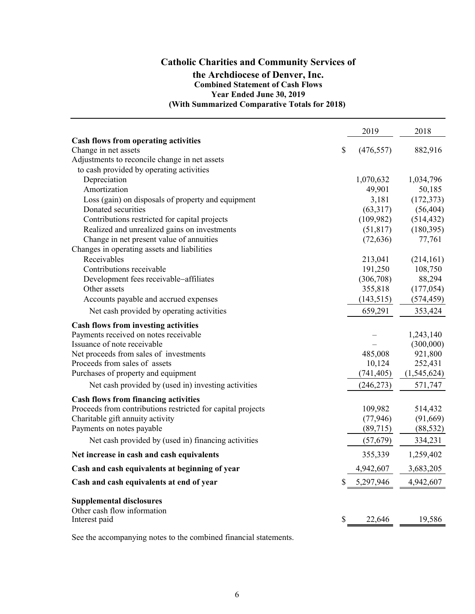### **Catholic Charities and Community Services of the Archdiocese of Denver, Inc. Combined Statement of Cash Flows Year Ended June 30, 2019 (With Summarized Comparative Totals for 2018)**

| <b>Cash flows from operating activities</b><br>\$<br>882,916<br>Change in net assets<br>(476, 557)<br>Adjustments to reconcile change in net assets<br>to cash provided by operating activities<br>Depreciation<br>1,070,632<br>1,034,796<br>Amortization<br>49,901<br>50,185<br>Loss (gain) on disposals of property and equipment<br>3,181<br>(172, 373)<br>(63,317)<br>(56, 404)<br>Donated securities<br>(109, 982)<br>(514, 432)<br>Contributions restricted for capital projects<br>Realized and unrealized gains on investments<br>(51, 817)<br>(180, 395)<br>Change in net present value of annuities<br>(72, 636)<br>77,761<br>Changes in operating assets and liabilities<br>Receivables<br>213,041<br>(214, 161)<br>191,250<br>108,750<br>Contributions receivable<br>Development fees receivable-affiliates<br>88,294<br>(306,708)<br>Other assets<br>355,818<br>(177, 054)<br>(143, 515)<br>(574, 459)<br>Accounts payable and accrued expenses<br>659,291<br>353,424<br>Net cash provided by operating activities<br>Cash flows from investing activities<br>Payments received on notes receivable<br>1,243,140<br>Issuance of note receivable<br>(300,000)<br>Net proceeds from sales of investments<br>485,008<br>921,800<br>Proceeds from sales of assets<br>10,124<br>252,431<br>Purchases of property and equipment<br>(741, 405)<br>(1,545,624)<br>Net cash provided by (used in) investing activities<br>(246, 273)<br>571,747<br><b>Cash flows from financing activities</b><br>Proceeds from contributions restricted for capital projects<br>109,982<br>514,432<br>(77, 946)<br>(91,669)<br>Charitable gift annuity activity<br>Payments on notes payable<br>(89, 715)<br>(88, 532)<br>334,231<br>Net cash provided by (used in) financing activities<br>(57, 679)<br>355,339<br>1,259,402<br>Net increase in cash and cash equivalents<br>Cash and cash equivalents at beginning of year<br>4,942,607<br>3,683,205<br>5,297,946<br>4,942,607<br>Cash and cash equivalents at end of year<br>\$<br><b>Supplemental disclosures</b><br>Other cash flow information<br>22,646<br>19,586<br>Interest paid<br>\$ |  | 2019 | 2018 |
|--------------------------------------------------------------------------------------------------------------------------------------------------------------------------------------------------------------------------------------------------------------------------------------------------------------------------------------------------------------------------------------------------------------------------------------------------------------------------------------------------------------------------------------------------------------------------------------------------------------------------------------------------------------------------------------------------------------------------------------------------------------------------------------------------------------------------------------------------------------------------------------------------------------------------------------------------------------------------------------------------------------------------------------------------------------------------------------------------------------------------------------------------------------------------------------------------------------------------------------------------------------------------------------------------------------------------------------------------------------------------------------------------------------------------------------------------------------------------------------------------------------------------------------------------------------------------------------------------------------------------------------------------------------------------------------------------------------------------------------------------------------------------------------------------------------------------------------------------------------------------------------------------------------------------------------------------------------------------------------------------------------------------------------------------------------------------------------------------------------------------------------|--|------|------|
|                                                                                                                                                                                                                                                                                                                                                                                                                                                                                                                                                                                                                                                                                                                                                                                                                                                                                                                                                                                                                                                                                                                                                                                                                                                                                                                                                                                                                                                                                                                                                                                                                                                                                                                                                                                                                                                                                                                                                                                                                                                                                                                                      |  |      |      |
|                                                                                                                                                                                                                                                                                                                                                                                                                                                                                                                                                                                                                                                                                                                                                                                                                                                                                                                                                                                                                                                                                                                                                                                                                                                                                                                                                                                                                                                                                                                                                                                                                                                                                                                                                                                                                                                                                                                                                                                                                                                                                                                                      |  |      |      |
|                                                                                                                                                                                                                                                                                                                                                                                                                                                                                                                                                                                                                                                                                                                                                                                                                                                                                                                                                                                                                                                                                                                                                                                                                                                                                                                                                                                                                                                                                                                                                                                                                                                                                                                                                                                                                                                                                                                                                                                                                                                                                                                                      |  |      |      |
|                                                                                                                                                                                                                                                                                                                                                                                                                                                                                                                                                                                                                                                                                                                                                                                                                                                                                                                                                                                                                                                                                                                                                                                                                                                                                                                                                                                                                                                                                                                                                                                                                                                                                                                                                                                                                                                                                                                                                                                                                                                                                                                                      |  |      |      |
|                                                                                                                                                                                                                                                                                                                                                                                                                                                                                                                                                                                                                                                                                                                                                                                                                                                                                                                                                                                                                                                                                                                                                                                                                                                                                                                                                                                                                                                                                                                                                                                                                                                                                                                                                                                                                                                                                                                                                                                                                                                                                                                                      |  |      |      |
|                                                                                                                                                                                                                                                                                                                                                                                                                                                                                                                                                                                                                                                                                                                                                                                                                                                                                                                                                                                                                                                                                                                                                                                                                                                                                                                                                                                                                                                                                                                                                                                                                                                                                                                                                                                                                                                                                                                                                                                                                                                                                                                                      |  |      |      |
|                                                                                                                                                                                                                                                                                                                                                                                                                                                                                                                                                                                                                                                                                                                                                                                                                                                                                                                                                                                                                                                                                                                                                                                                                                                                                                                                                                                                                                                                                                                                                                                                                                                                                                                                                                                                                                                                                                                                                                                                                                                                                                                                      |  |      |      |
|                                                                                                                                                                                                                                                                                                                                                                                                                                                                                                                                                                                                                                                                                                                                                                                                                                                                                                                                                                                                                                                                                                                                                                                                                                                                                                                                                                                                                                                                                                                                                                                                                                                                                                                                                                                                                                                                                                                                                                                                                                                                                                                                      |  |      |      |
|                                                                                                                                                                                                                                                                                                                                                                                                                                                                                                                                                                                                                                                                                                                                                                                                                                                                                                                                                                                                                                                                                                                                                                                                                                                                                                                                                                                                                                                                                                                                                                                                                                                                                                                                                                                                                                                                                                                                                                                                                                                                                                                                      |  |      |      |
|                                                                                                                                                                                                                                                                                                                                                                                                                                                                                                                                                                                                                                                                                                                                                                                                                                                                                                                                                                                                                                                                                                                                                                                                                                                                                                                                                                                                                                                                                                                                                                                                                                                                                                                                                                                                                                                                                                                                                                                                                                                                                                                                      |  |      |      |
|                                                                                                                                                                                                                                                                                                                                                                                                                                                                                                                                                                                                                                                                                                                                                                                                                                                                                                                                                                                                                                                                                                                                                                                                                                                                                                                                                                                                                                                                                                                                                                                                                                                                                                                                                                                                                                                                                                                                                                                                                                                                                                                                      |  |      |      |
|                                                                                                                                                                                                                                                                                                                                                                                                                                                                                                                                                                                                                                                                                                                                                                                                                                                                                                                                                                                                                                                                                                                                                                                                                                                                                                                                                                                                                                                                                                                                                                                                                                                                                                                                                                                                                                                                                                                                                                                                                                                                                                                                      |  |      |      |
|                                                                                                                                                                                                                                                                                                                                                                                                                                                                                                                                                                                                                                                                                                                                                                                                                                                                                                                                                                                                                                                                                                                                                                                                                                                                                                                                                                                                                                                                                                                                                                                                                                                                                                                                                                                                                                                                                                                                                                                                                                                                                                                                      |  |      |      |
|                                                                                                                                                                                                                                                                                                                                                                                                                                                                                                                                                                                                                                                                                                                                                                                                                                                                                                                                                                                                                                                                                                                                                                                                                                                                                                                                                                                                                                                                                                                                                                                                                                                                                                                                                                                                                                                                                                                                                                                                                                                                                                                                      |  |      |      |
|                                                                                                                                                                                                                                                                                                                                                                                                                                                                                                                                                                                                                                                                                                                                                                                                                                                                                                                                                                                                                                                                                                                                                                                                                                                                                                                                                                                                                                                                                                                                                                                                                                                                                                                                                                                                                                                                                                                                                                                                                                                                                                                                      |  |      |      |
|                                                                                                                                                                                                                                                                                                                                                                                                                                                                                                                                                                                                                                                                                                                                                                                                                                                                                                                                                                                                                                                                                                                                                                                                                                                                                                                                                                                                                                                                                                                                                                                                                                                                                                                                                                                                                                                                                                                                                                                                                                                                                                                                      |  |      |      |
|                                                                                                                                                                                                                                                                                                                                                                                                                                                                                                                                                                                                                                                                                                                                                                                                                                                                                                                                                                                                                                                                                                                                                                                                                                                                                                                                                                                                                                                                                                                                                                                                                                                                                                                                                                                                                                                                                                                                                                                                                                                                                                                                      |  |      |      |
|                                                                                                                                                                                                                                                                                                                                                                                                                                                                                                                                                                                                                                                                                                                                                                                                                                                                                                                                                                                                                                                                                                                                                                                                                                                                                                                                                                                                                                                                                                                                                                                                                                                                                                                                                                                                                                                                                                                                                                                                                                                                                                                                      |  |      |      |
|                                                                                                                                                                                                                                                                                                                                                                                                                                                                                                                                                                                                                                                                                                                                                                                                                                                                                                                                                                                                                                                                                                                                                                                                                                                                                                                                                                                                                                                                                                                                                                                                                                                                                                                                                                                                                                                                                                                                                                                                                                                                                                                                      |  |      |      |
|                                                                                                                                                                                                                                                                                                                                                                                                                                                                                                                                                                                                                                                                                                                                                                                                                                                                                                                                                                                                                                                                                                                                                                                                                                                                                                                                                                                                                                                                                                                                                                                                                                                                                                                                                                                                                                                                                                                                                                                                                                                                                                                                      |  |      |      |
|                                                                                                                                                                                                                                                                                                                                                                                                                                                                                                                                                                                                                                                                                                                                                                                                                                                                                                                                                                                                                                                                                                                                                                                                                                                                                                                                                                                                                                                                                                                                                                                                                                                                                                                                                                                                                                                                                                                                                                                                                                                                                                                                      |  |      |      |
|                                                                                                                                                                                                                                                                                                                                                                                                                                                                                                                                                                                                                                                                                                                                                                                                                                                                                                                                                                                                                                                                                                                                                                                                                                                                                                                                                                                                                                                                                                                                                                                                                                                                                                                                                                                                                                                                                                                                                                                                                                                                                                                                      |  |      |      |
|                                                                                                                                                                                                                                                                                                                                                                                                                                                                                                                                                                                                                                                                                                                                                                                                                                                                                                                                                                                                                                                                                                                                                                                                                                                                                                                                                                                                                                                                                                                                                                                                                                                                                                                                                                                                                                                                                                                                                                                                                                                                                                                                      |  |      |      |
|                                                                                                                                                                                                                                                                                                                                                                                                                                                                                                                                                                                                                                                                                                                                                                                                                                                                                                                                                                                                                                                                                                                                                                                                                                                                                                                                                                                                                                                                                                                                                                                                                                                                                                                                                                                                                                                                                                                                                                                                                                                                                                                                      |  |      |      |
|                                                                                                                                                                                                                                                                                                                                                                                                                                                                                                                                                                                                                                                                                                                                                                                                                                                                                                                                                                                                                                                                                                                                                                                                                                                                                                                                                                                                                                                                                                                                                                                                                                                                                                                                                                                                                                                                                                                                                                                                                                                                                                                                      |  |      |      |
|                                                                                                                                                                                                                                                                                                                                                                                                                                                                                                                                                                                                                                                                                                                                                                                                                                                                                                                                                                                                                                                                                                                                                                                                                                                                                                                                                                                                                                                                                                                                                                                                                                                                                                                                                                                                                                                                                                                                                                                                                                                                                                                                      |  |      |      |
|                                                                                                                                                                                                                                                                                                                                                                                                                                                                                                                                                                                                                                                                                                                                                                                                                                                                                                                                                                                                                                                                                                                                                                                                                                                                                                                                                                                                                                                                                                                                                                                                                                                                                                                                                                                                                                                                                                                                                                                                                                                                                                                                      |  |      |      |
|                                                                                                                                                                                                                                                                                                                                                                                                                                                                                                                                                                                                                                                                                                                                                                                                                                                                                                                                                                                                                                                                                                                                                                                                                                                                                                                                                                                                                                                                                                                                                                                                                                                                                                                                                                                                                                                                                                                                                                                                                                                                                                                                      |  |      |      |
|                                                                                                                                                                                                                                                                                                                                                                                                                                                                                                                                                                                                                                                                                                                                                                                                                                                                                                                                                                                                                                                                                                                                                                                                                                                                                                                                                                                                                                                                                                                                                                                                                                                                                                                                                                                                                                                                                                                                                                                                                                                                                                                                      |  |      |      |
|                                                                                                                                                                                                                                                                                                                                                                                                                                                                                                                                                                                                                                                                                                                                                                                                                                                                                                                                                                                                                                                                                                                                                                                                                                                                                                                                                                                                                                                                                                                                                                                                                                                                                                                                                                                                                                                                                                                                                                                                                                                                                                                                      |  |      |      |
|                                                                                                                                                                                                                                                                                                                                                                                                                                                                                                                                                                                                                                                                                                                                                                                                                                                                                                                                                                                                                                                                                                                                                                                                                                                                                                                                                                                                                                                                                                                                                                                                                                                                                                                                                                                                                                                                                                                                                                                                                                                                                                                                      |  |      |      |
|                                                                                                                                                                                                                                                                                                                                                                                                                                                                                                                                                                                                                                                                                                                                                                                                                                                                                                                                                                                                                                                                                                                                                                                                                                                                                                                                                                                                                                                                                                                                                                                                                                                                                                                                                                                                                                                                                                                                                                                                                                                                                                                                      |  |      |      |
|                                                                                                                                                                                                                                                                                                                                                                                                                                                                                                                                                                                                                                                                                                                                                                                                                                                                                                                                                                                                                                                                                                                                                                                                                                                                                                                                                                                                                                                                                                                                                                                                                                                                                                                                                                                                                                                                                                                                                                                                                                                                                                                                      |  |      |      |
|                                                                                                                                                                                                                                                                                                                                                                                                                                                                                                                                                                                                                                                                                                                                                                                                                                                                                                                                                                                                                                                                                                                                                                                                                                                                                                                                                                                                                                                                                                                                                                                                                                                                                                                                                                                                                                                                                                                                                                                                                                                                                                                                      |  |      |      |
|                                                                                                                                                                                                                                                                                                                                                                                                                                                                                                                                                                                                                                                                                                                                                                                                                                                                                                                                                                                                                                                                                                                                                                                                                                                                                                                                                                                                                                                                                                                                                                                                                                                                                                                                                                                                                                                                                                                                                                                                                                                                                                                                      |  |      |      |
|                                                                                                                                                                                                                                                                                                                                                                                                                                                                                                                                                                                                                                                                                                                                                                                                                                                                                                                                                                                                                                                                                                                                                                                                                                                                                                                                                                                                                                                                                                                                                                                                                                                                                                                                                                                                                                                                                                                                                                                                                                                                                                                                      |  |      |      |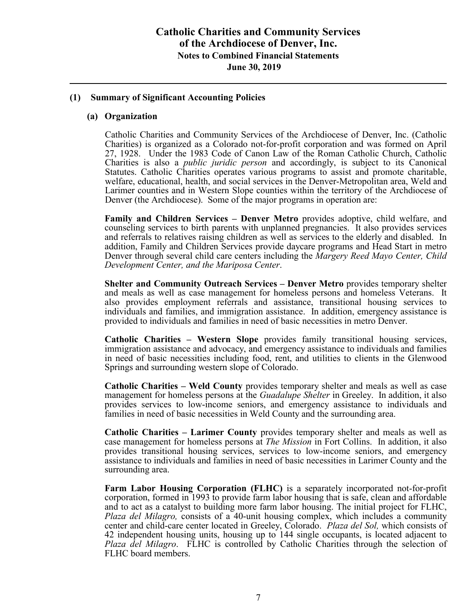## **Catholic Charities and Community Services of the Archdiocese of Denver, Inc. Notes to Combined Financial Statements June 30, 2019**

#### **(1) Summary of Significant Accounting Policies**

#### **(a) Organization**

Catholic Charities and Community Services of the Archdiocese of Denver, Inc. (Catholic Charities) is organized as a Colorado not-for-profit corporation and was formed on April 27, 1928. Under the 1983 Code of Canon Law of the Roman Catholic Church, Catholic Charities is also a *public juridic person* and accordingly, is subject to its Canonical Statutes. Catholic Charities operates various programs to assist and promote charitable, welfare, educational, health, and social services in the Denver-Metropolitan area, Weld and Larimer counties and in Western Slope counties within the territory of the Archdiocese of Denver (the Archdiocese). Some of the major programs in operation are:

**Family and Children Services – Denver Metro** provides adoptive, child welfare, and counseling services to birth parents with unplanned pregnancies. It also provides services and referrals to relatives raising children as well as services to the elderly and disabled. In addition, Family and Children Services provide daycare programs and Head Start in metro Denver through several child care centers including the *Margery Reed Mayo Center, Child Development Center, and the Mariposa Center*.

**Shelter and Community Outreach Services – Denver Metro** provides temporary shelter and meals as well as case management for homeless persons and homeless Veterans. It also provides employment referrals and assistance, transitional housing services to individuals and families, and immigration assistance. In addition, emergency assistance is provided to individuals and families in need of basic necessities in metro Denver.

**Catholic Charities – Western Slope** provides family transitional housing services, immigration assistance and advocacy, and emergency assistance to individuals and families in need of basic necessities including food, rent, and utilities to clients in the Glenwood Springs and surrounding western slope of Colorado.

**Catholic Charities – Weld County** provides temporary shelter and meals as well as case management for homeless persons at the *Guadalupe Shelter* in Greeley. In addition, it also provides services to low-income seniors, and emergency assistance to individuals and families in need of basic necessities in Weld County and the surrounding area.

**Catholic Charities – Larimer County** provides temporary shelter and meals as well as case management for homeless persons at *The Mission* in Fort Collins. In addition, it also provides transitional housing services, services to low-income seniors, and emergency assistance to individuals and families in need of basic necessities in Larimer County and the surrounding area.

**Farm Labor Housing Corporation (FLHC)** is a separately incorporated not-for-profit corporation, formed in 1993 to provide farm labor housing that is safe, clean and affordable and to act as a catalyst to building more farm labor housing. The initial project for FLHC, *Plaza del Milagro,* consists of a 40-unit housing complex, which includes a community center and child-care center located in Greeley, Colorado. *Plaza del Sol,* which consists of 42 independent housing units, housing up to 144 single occupants, is located adjacent to *Plaza del Milagro*. FLHC is controlled by Catholic Charities through the selection of FLHC board members.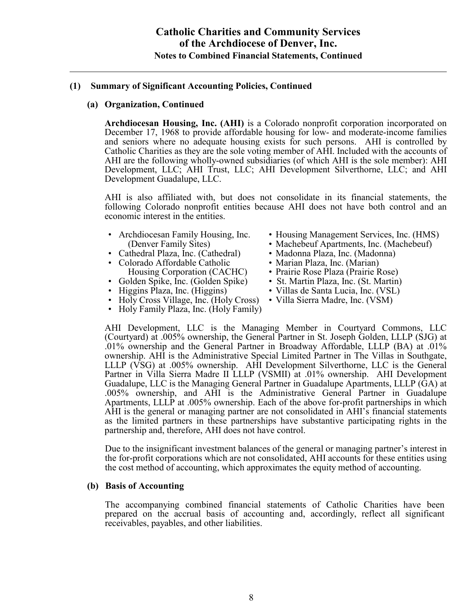### **(a) Organization, Continued**

**Archdiocesan Housing, Inc. (AHI)** is a Colorado nonprofit corporation incorporated on December 17, 1968 to provide affordable housing for low- and moderate-income families and seniors where no adequate housing exists for such persons. AHI is controlled by Catholic Charities as they are the sole voting member of AHI. Included with the accounts of AHI are the following wholly-owned subsidiaries (of which AHI is the sole member): AHI Development, LLC; AHI Trust, LLC; AHI Development Silverthorne, LLC; and AHI Development Guadalupe, LLC.

AHI is also affiliated with, but does not consolidate in its financial statements, the following Colorado nonprofit entities because AHI does not have both control and an economic interest in the entities.

- 
- Cathedral Plaza, Inc. (Cathedral) Madonna Plaza, Inc. (Madonna)
- Colorado Affordable Catholic Marian Plaza, Inc. (Marian)
- Golden Spike, Inc. (Golden Spike)
- 
- Holy Cross Village, Inc. (Holy Cross)
- Holy Family Plaza, Inc. (Holy Family)
- Archdiocesan Family Housing, Inc. Housing Management Services, Inc. (HMS)
	- (Denver Family Sites) Machebeuf Apartments, Inc. (Machebeuf)
		-
		-
		-
	- Housing Corporation (CACHC) Prairie Rose Plaza (Prairie Rose)<br>
	olden Spike, Inc. (Golden Spike) St. Martin Plaza, Inc. (St. Martin)
	- Higgins Plaza, Inc. (Higgins) Villas de Santa Lucia, Inc. (VSL)
		-

AHI Development, LLC is the Managing Member in Courtyard Commons, LLC (Courtyard) at .005% ownership, the General Partner in St. Joseph Golden, LLLP (SJG) at .01% ownership and the General Partner in Broadway Affordable, LLLP (BA) at .01% ownership. AHI is the Administrative Special Limited Partner in The Villas in Southgate, LLLP (VSG) at .005% ownership. AHI Development Silverthorne, LLC is the General Partner in Villa Sierra Madre II LLLP (VSMII) at .01% ownership. AHI Development Guadalupe, LLC is the Managing General Partner in Guadalupe Apartments, LLLP (GA) at .005% ownership, and AHI is the Administrative General Partner in Guadalupe Apartments, LLLP at .005% ownership. Each of the above for-profit partnerships in which AHI is the general or managing partner are not consolidated in AHI's financial statements as the limited partners in these partnerships have substantive participating rights in the partnership and, therefore, AHI does not have control.

Due to the insignificant investment balances of the general or managing partner's interest in the for-profit corporations which are not consolidated, AHI accounts for these entities using the cost method of accounting, which approximates the equity method of accounting.

### **(b) Basis of Accounting**

The accompanying combined financial statements of Catholic Charities have been prepared on the accrual basis of accounting and, accordingly, reflect all significant receivables, payables, and other liabilities.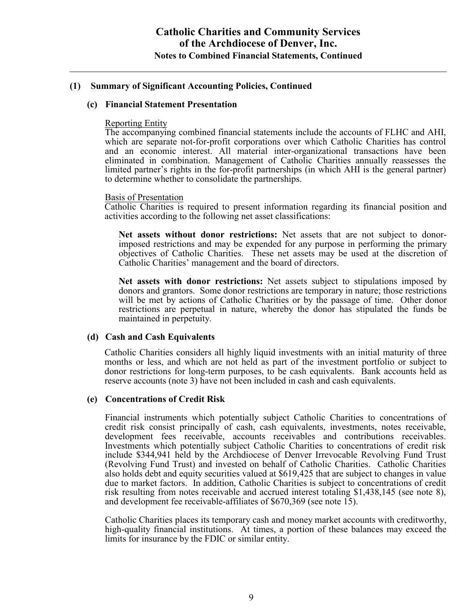#### **(c) Financial Statement Presentation**

#### Reporting Entity

The accompanying combined financial statements include the accounts of FLHC and AHI, which are separate not-for-profit corporations over which Catholic Charities has control and an economic interest. All material inter-organizational transactions have been eliminated in combination. Management of Catholic Charities annually reassesses the limited partner's rights in the for-profit partnerships (in which AHI is the general partner) to determine whether to consolidate the partnerships.

#### Basis of Presentation

Catholic Charities is required to present information regarding its financial position and activities according to the following net asset classifications:

**Net assets without donor restrictions:** Net assets that are not subject to donorimposed restrictions and may be expended for any purpose in performing the primary objectives of Catholic Charities. These net assets may be used at the discretion of Catholic Charities' management and the board of directors.

**Net assets with donor restrictions:** Net assets subject to stipulations imposed by donors and grantors. Some donor restrictions are temporary in nature; those restrictions will be met by actions of Catholic Charities or by the passage of time. Other donor restrictions are perpetual in nature, whereby the donor has stipulated the funds be maintained in perpetuity.

### **(d) Cash and Cash Equivalents**

Catholic Charities considers all highly liquid investments with an initial maturity of three months or less, and which are not held as part of the investment portfolio or subject to donor restrictions for long-term purposes, to be cash equivalents. Bank accounts held as reserve accounts (note 3) have not been included in cash and cash equivalents.

### **(e) Concentrations of Credit Risk**

Financial instruments which potentially subject Catholic Charities to concentrations of credit risk consist principally of cash, cash equivalents, investments, notes receivable, development fees receivable, accounts receivables and contributions receivables. Investments which potentially subject Catholic Charities to concentrations of credit risk include \$344,941 held by the Archdiocese of Denver Irrevocable Revolving Fund Trust (Revolving Fund Trust) and invested on behalf of Catholic Charities. Catholic Charities also holds debt and equity securities valued at \$619,425 that are subject to changes in value due to market factors. In addition, Catholic Charities is subject to concentrations of credit risk resulting from notes receivable and accrued interest totaling \$1,438,145 (see note 8), and development fee receivable-affiliates of \$670,369 (see note 15).

Catholic Charities places its temporary cash and money market accounts with creditworthy, high-quality financial institutions. At times, a portion of these balances may exceed the limits for insurance by the FDIC or similar entity.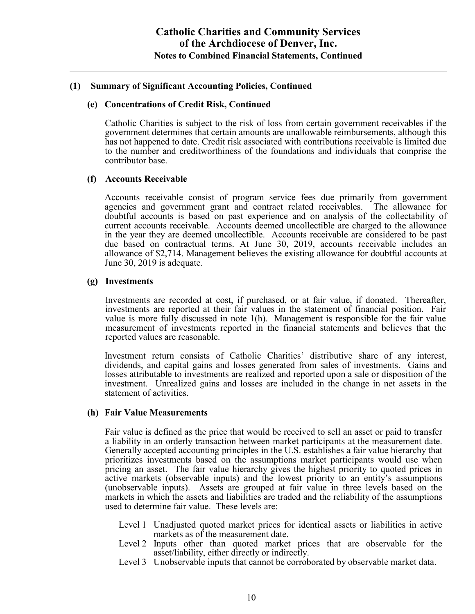#### **(e) Concentrations of Credit Risk, Continued**

Catholic Charities is subject to the risk of loss from certain government receivables if the government determines that certain amounts are unallowable reimbursements, although this has not happened to date. Credit risk associated with contributions receivable is limited due to the number and creditworthiness of the foundations and individuals that comprise the contributor base.

#### **(f) Accounts Receivable**

Accounts receivable consist of program service fees due primarily from government agencies and government grant and contract related receivables. The allowance for doubtful accounts is based on past experience and on analysis of the collectability of current accounts receivable. Accounts deemed uncollectible are charged to the allowance in the year they are deemed uncollectible. Accounts receivable are considered to be past due based on contractual terms. At June 30, 2019, accounts receivable includes an allowance of \$2,714. Management believes the existing allowance for doubtful accounts at June 30, 2019 is adequate.

#### **(g) Investments**

Investments are recorded at cost, if purchased, or at fair value, if donated. Thereafter, investments are reported at their fair values in the statement of financial position. Fair value is more fully discussed in note 1(h). Management is responsible for the fair value measurement of investments reported in the financial statements and believes that the reported values are reasonable.

Investment return consists of Catholic Charities' distributive share of any interest, dividends, and capital gains and losses generated from sales of investments. Gains and losses attributable to investments are realized and reported upon a sale or disposition of the investment. Unrealized gains and losses are included in the change in net assets in the statement of activities.

#### **(h) Fair Value Measurements**

Fair value is defined as the price that would be received to sell an asset or paid to transfer a liability in an orderly transaction between market participants at the measurement date. Generally accepted accounting principles in the U.S. establishes a fair value hierarchy that prioritizes investments based on the assumptions market participants would use when pricing an asset. The fair value hierarchy gives the highest priority to quoted prices in active markets (observable inputs) and the lowest priority to an entity's assumptions (unobservable inputs). Assets are grouped at fair value in three levels based on the markets in which the assets and liabilities are traded and the reliability of the assumptions used to determine fair value. These levels are:

- Level 1 Unadjusted quoted market prices for identical assets or liabilities in active markets as of the measurement date.
- Level 2 Inputs other than quoted market prices that are observable for the asset/liability, either directly or indirectly.
- Level 3 Unobservable inputs that cannot be corroborated by observable market data.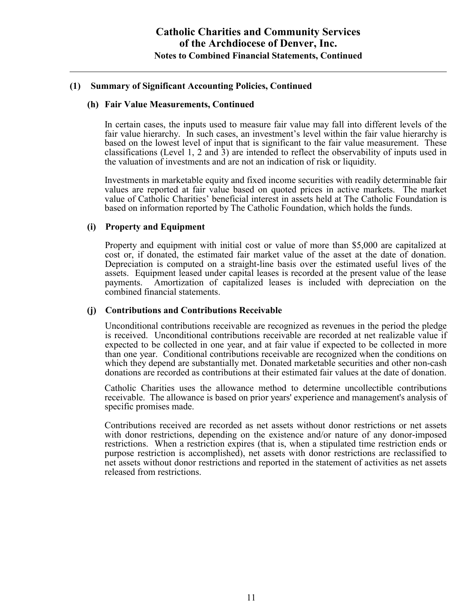#### **(h) Fair Value Measurements, Continued**

In certain cases, the inputs used to measure fair value may fall into different levels of the fair value hierarchy. In such cases, an investment's level within the fair value hierarchy is based on the lowest level of input that is significant to the fair value measurement. These classifications (Level 1, 2 and 3) are intended to reflect the observability of inputs used in the valuation of investments and are not an indication of risk or liquidity.

Investments in marketable equity and fixed income securities with readily determinable fair values are reported at fair value based on quoted prices in active markets. The market value of Catholic Charities' beneficial interest in assets held at The Catholic Foundation is based on information reported by The Catholic Foundation, which holds the funds.

### **(i) Property and Equipment**

Property and equipment with initial cost or value of more than \$5,000 are capitalized at cost or, if donated, the estimated fair market value of the asset at the date of donation. Depreciation is computed on a straight-line basis over the estimated useful lives of the assets. Equipment leased under capital leases is recorded at the present value of the lease payments. Amortization of capitalized leases is included with depreciation on the combined financial statements.

### **(j) Contributions and Contributions Receivable**

Unconditional contributions receivable are recognized as revenues in the period the pledge is received. Unconditional contributions receivable are recorded at net realizable value if expected to be collected in one year, and at fair value if expected to be collected in more than one year. Conditional contributions receivable are recognized when the conditions on which they depend are substantially met. Donated marketable securities and other non-cash donations are recorded as contributions at their estimated fair values at the date of donation.

Catholic Charities uses the allowance method to determine uncollectible contributions receivable. The allowance is based on prior years' experience and management's analysis of specific promises made.

Contributions received are recorded as net assets without donor restrictions or net assets with donor restrictions, depending on the existence and/or nature of any donor-imposed restrictions. When a restriction expires (that is, when a stipulated time restriction ends or purpose restriction is accomplished), net assets with donor restrictions are reclassified to net assets without donor restrictions and reported in the statement of activities as net assets released from restrictions.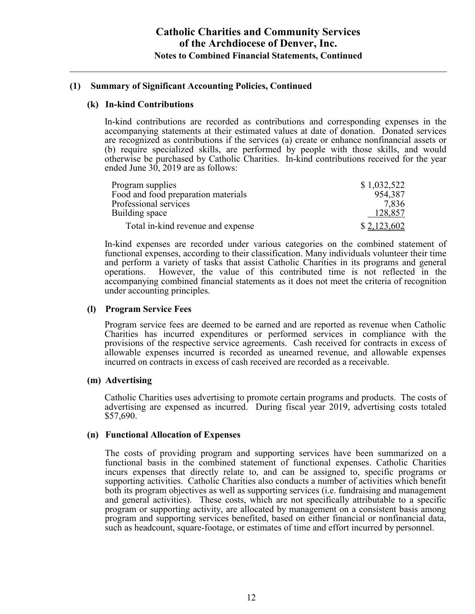### **(k) In-kind Contributions**

In-kind contributions are recorded as contributions and corresponding expenses in the accompanying statements at their estimated values at date of donation. Donated services are recognized as contributions if the services (a) create or enhance nonfinancial assets or (b) require specialized skills, are performed by people with those skills, and would otherwise be purchased by Catholic Charities. In-kind contributions received for the year ended June 30, 2019 are as follows:

| Program supplies                    | \$1,032,522 |
|-------------------------------------|-------------|
| Food and food preparation materials | 954,387     |
| Professional services               | 7.836       |
| Building space                      | 128,857     |
| Total in-kind revenue and expense   | \$2,123,602 |

In-kind expenses are recorded under various categories on the combined statement of functional expenses, according to their classification. Many individuals volunteer their time and perform a variety of tasks that assist Catholic Charities in its programs and general operations. However, the value of this contributed time is not reflected in the accompanying combined financial statements as it does not meet the criteria of recognition under accounting principles.

### **(l) Program Service Fees**

Program service fees are deemed to be earned and are reported as revenue when Catholic Charities has incurred expenditures or performed services in compliance with the provisions of the respective service agreements. Cash received for contracts in excess of allowable expenses incurred is recorded as unearned revenue, and allowable expenses incurred on contracts in excess of cash received are recorded as a receivable.

### **(m) Advertising**

Catholic Charities uses advertising to promote certain programs and products. The costs of advertising are expensed as incurred. During fiscal year 2019, advertising costs totaled \$57,690.

### **(n) Functional Allocation of Expenses**

The costs of providing program and supporting services have been summarized on a functional basis in the combined statement of functional expenses. Catholic Charities incurs expenses that directly relate to, and can be assigned to, specific programs or supporting activities. Catholic Charities also conducts a number of activities which benefit both its program objectives as well as supporting services (i.e. fundraising and management and general activities). These costs, which are not specifically attributable to a specific program or supporting activity, are allocated by management on a consistent basis among program and supporting services benefited, based on either financial or nonfinancial data, such as headcount, square-footage, or estimates of time and effort incurred by personnel.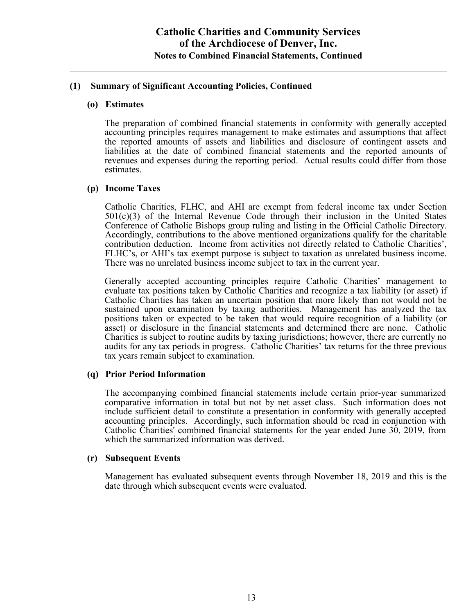#### **(o) Estimates**

The preparation of combined financial statements in conformity with generally accepted accounting principles requires management to make estimates and assumptions that affect the reported amounts of assets and liabilities and disclosure of contingent assets and liabilities at the date of combined financial statements and the reported amounts of revenues and expenses during the reporting period. Actual results could differ from those estimates.

#### **(p) Income Taxes**

Catholic Charities, FLHC, and AHI are exempt from federal income tax under Section 501(c)(3) of the Internal Revenue Code through their inclusion in the United States Conference of Catholic Bishops group ruling and listing in the Official Catholic Directory. Accordingly, contributions to the above mentioned organizations qualify for the charitable contribution deduction. Income from activities not directly related to Catholic Charities', FLHC's, or AHI's tax exempt purpose is subject to taxation as unrelated business income. There was no unrelated business income subject to tax in the current year.

Generally accepted accounting principles require Catholic Charities' management to evaluate tax positions taken by Catholic Charities and recognize a tax liability (or asset) if Catholic Charities has taken an uncertain position that more likely than not would not be sustained upon examination by taxing authorities. Management has analyzed the tax positions taken or expected to be taken that would require recognition of a liability (or asset) or disclosure in the financial statements and determined there are none. Catholic Charities is subject to routine audits by taxing jurisdictions; however, there are currently no audits for any tax periods in progress. Catholic Charities' tax returns for the three previous tax years remain subject to examination.

### **(q) Prior Period Information**

The accompanying combined financial statements include certain prior-year summarized comparative information in total but not by net asset class. Such information does not include sufficient detail to constitute a presentation in conformity with generally accepted accounting principles. Accordingly, such information should be read in conjunction with Catholic Charities' combined financial statements for the year ended June 30, 2019, from which the summarized information was derived.

### **(r) Subsequent Events**

Management has evaluated subsequent events through November 18, 2019 and this is the date through which subsequent events were evaluated.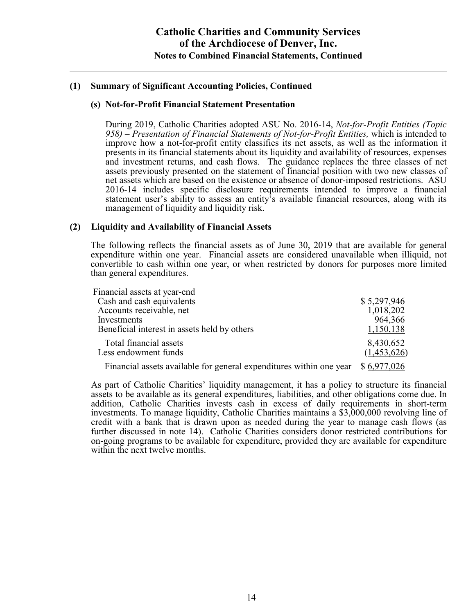#### **(s) Not-for-Profit Financial Statement Presentation**

During 2019, Catholic Charities adopted ASU No. 2016-14, *Not-for-Profit Entities (Topic 958) – Presentation of Financial Statements of Not-for-Profit Entities,* which is intended to improve how a not-for-profit entity classifies its net assets, as well as the information it presents in its financial statements about its liquidity and availability of resources, expenses and investment returns, and cash flows. The guidance replaces the three classes of net assets previously presented on the statement of financial position with two new classes of net assets which are based on the existence or absence of donor-imposed restrictions. ASU 2016-14 includes specific disclosure requirements intended to improve a financial statement user's ability to assess an entity's available financial resources, along with its management of liquidity and liquidity risk.

### **(2) Liquidity and Availability of Financial Assets**

The following reflects the financial assets as of June 30, 2019 that are available for general expenditure within one year. Financial assets are considered unavailable when illiquid, not convertible to cash within one year, or when restricted by donors for purposes more limited than general expenditures.

| Financial assets at year-end                                        |                          |
|---------------------------------------------------------------------|--------------------------|
| Cash and cash equivalents                                           | \$5,297,946              |
| Accounts receivable, net                                            | 1,018,202                |
| Investments                                                         | 964,366                  |
| Beneficial interest in assets held by others                        | 1,150,138                |
| Total financial assets<br>Less endowment funds                      | 8,430,652<br>(1,453,626) |
| Financial assets available for general expenditures within one year | \$6,977,026              |

As part of Catholic Charities' liquidity management, it has a policy to structure its financial assets to be available as its general expenditures, liabilities, and other obligations come due. In addition, Catholic Charities invests cash in excess of daily requirements in short-term investments. To manage liquidity, Catholic Charities maintains a \$3,000,000 revolving line of credit with a bank that is drawn upon as needed during the year to manage cash flows (as further discussed in note 14). Catholic Charities considers donor restricted contributions for on-going programs to be available for expenditure, provided they are available for expenditure within the next twelve months.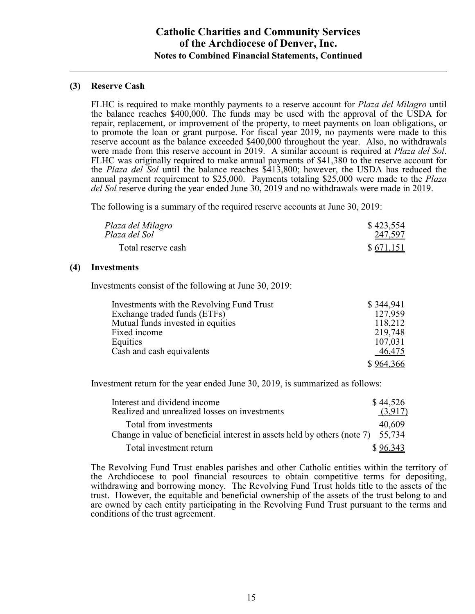### **(3) Reserve Cash**

FLHC is required to make monthly payments to a reserve account for *Plaza del Milagro* until the balance reaches \$400,000. The funds may be used with the approval of the USDA for repair, replacement, or improvement of the property, to meet payments on loan obligations, or to promote the loan or grant purpose. For fiscal year 2019, no payments were made to this reserve account as the balance exceeded \$400,000 throughout the year. Also, no withdrawals were made from this reserve account in 2019. A similar account is required at *Plaza del Sol*. FLHC was originally required to make annual payments of \$41,380 to the reserve account for the *Plaza del Sol* until the balance reaches \$413,800; however, the USDA has reduced the annual payment requirement to \$25,000. Payments totaling \$25,000 were made to the *Plaza del Sol* reserve during the year ended June 30, 2019 and no withdrawals were made in 2019.

The following is a summary of the required reserve accounts at June 30, 2019:

| Plaza del Milagro  | \$423,554 |
|--------------------|-----------|
| Plaza del Sol      | 247,597   |
| Total reserve cash | \$671,151 |

### **(4) Investments**

Investments consist of the following at June 30, 2019:

| Investments with the Revolving Fund Trust | \$344,941 |
|-------------------------------------------|-----------|
| Exchange traded funds (ETFs)              | 127,959   |
| Mutual funds invested in equities         | 118,212   |
| Fixed income                              | 219,748   |
| Equities                                  | 107,031   |
| Cash and cash equivalents                 | 46,475    |
|                                           | \$964,366 |

Investment return for the year ended June 30, 2019, is summarized as follows:

| Interest and dividend income                                                    | \$44,526 |
|---------------------------------------------------------------------------------|----------|
| Realized and unrealized losses on investments                                   | (3,917)  |
| Total from investments                                                          | 40,609   |
| Change in value of beneficial interest in assets held by others (note 7) 55,734 |          |
| Total investment return                                                         | \$96,343 |

The Revolving Fund Trust enables parishes and other Catholic entities within the territory of the Archdiocese to pool financial resources to obtain competitive terms for depositing, withdrawing and borrowing money. The Revolving Fund Trust holds title to the assets of the trust. However, the equitable and beneficial ownership of the assets of the trust belong to and are owned by each entity participating in the Revolving Fund Trust pursuant to the terms and conditions of the trust agreement.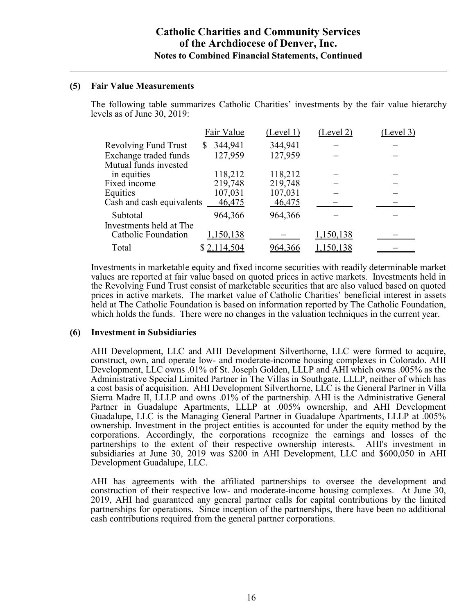### **(5) Fair Value Measurements**

The following table summarizes Catholic Charities' investments by the fair value hierarchy levels as of June 30, 2019:

|                             | Fair Value    | (Level 1) | (Level 2) | (Level 3) |
|-----------------------------|---------------|-----------|-----------|-----------|
| <b>Revolving Fund Trust</b> | 344,941<br>\$ | 344,941   |           |           |
| Exchange traded funds       | 127,959       | 127,959   |           |           |
| Mutual funds invested       |               |           |           |           |
| in equities                 | 118,212       | 118,212   |           |           |
| Fixed income                | 219,748       | 219,748   |           |           |
| Equities                    | 107,031       | 107,031   |           |           |
| Cash and cash equivalents   | 46,475        | 46,475    |           |           |
| Subtotal                    | 964,366       | 964,366   |           |           |
| Investments held at The     |               |           |           |           |
| <b>Catholic Foundation</b>  | 1,150,138     |           | 1,150,138 |           |
| Total                       | \$2,114,504   |           | ,150,138  |           |

Investments in marketable equity and fixed income securities with readily determinable market values are reported at fair value based on quoted prices in active markets. Investments held in the Revolving Fund Trust consist of marketable securities that are also valued based on quoted prices in active markets. The market value of Catholic Charities' beneficial interest in assets held at The Catholic Foundation is based on information reported by The Catholic Foundation, which holds the funds. There were no changes in the valuation techniques in the current year.

### **(6) Investment in Subsidiaries**

AHI Development, LLC and AHI Development Silverthorne, LLC were formed to acquire, construct, own, and operate low- and moderate-income housing complexes in Colorado. AHI Development, LLC owns .01% of St. Joseph Golden, LLLP and AHI which owns .005% as the Administrative Special Limited Partner in The Villas in Southgate, LLLP, neither of which has a cost basis of acquisition. AHI Development Silverthorne, LLC is the General Partner in Villa Sierra Madre II, LLLP and owns .01% of the partnership. AHI is the Administrative General Partner in Guadalupe Apartments, LLLP at .005% ownership, and AHI Development Guadalupe, LLC is the Managing General Partner in Guadalupe Apartments, LLLP at .005% ownership. Investment in the project entities is accounted for under the equity method by the corporations. Accordingly, the corporations recognize the earnings and losses of the partnerships to the extent of their respective ownership interests. AHI's investment in subsidiaries at June 30, 2019 was \$200 in AHI Development, LLC and \$600,050 in AHI Development Guadalupe, LLC.

AHI has agreements with the affiliated partnerships to oversee the development and construction of their respective low- and moderate-income housing complexes. At June 30, 2019, AHI had guaranteed any general partner calls for capital contributions by the limited partnerships for operations. Since inception of the partnerships, there have been no additional cash contributions required from the general partner corporations.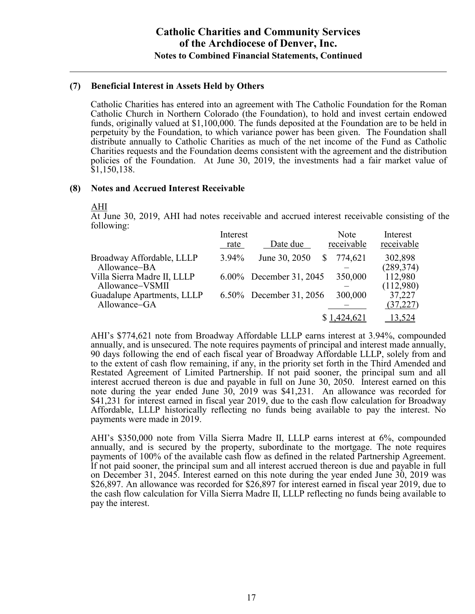### **(7) Beneficial Interest in Assets Held by Others**

Catholic Charities has entered into an agreement with The Catholic Foundation for the Roman Catholic Church in Northern Colorado (the Foundation), to hold and invest certain endowed funds, originally valued at \$1,100,000. The funds deposited at the Foundation are to be held in perpetuity by the Foundation, to which variance power has been given. The Foundation shall distribute annually to Catholic Charities as much of the net income of the Fund as Catholic Charities requests and the Foundation deems consistent with the agreement and the distribution policies of the Foundation. At June 30, 2019, the investments had a fair market value of \$1,150,138.

### **(8) Notes and Accrued Interest Receivable**

#### AHI

At June 30, 2019, AHI had notes receivable and accrued interest receivable consisting of the following:

|                                                | Interest<br>rate | Date due                | Note<br>receivable | Interest<br>receivable |
|------------------------------------------------|------------------|-------------------------|--------------------|------------------------|
| Broadway Affordable, LLLP<br>Allowance-BA      | $3.94\%$         | June 30, 2050           | 774,621            | 302,898<br>(289, 374)  |
| Villa Sierra Madre II, LLLP<br>Allowance-VSMII |                  | 6.00% December 31, 2045 | 350,000            | 112,980<br>(112,980)   |
| Guadalupe Apartments, LLLP<br>Allowance-GA     |                  | 6.50% December 31, 2056 | 300,000            | 37,227<br>(37, 227)    |
|                                                |                  |                         | \$1,424,621        | 13,524                 |

AHI's \$774,621 note from Broadway Affordable LLLP earns interest at 3.94%, compounded annually, and is unsecured. The note requires payments of principal and interest made annually, 90 days following the end of each fiscal year of Broadway Affordable LLLP, solely from and to the extent of cash flow remaining, if any, in the priority set forth in the Third Amended and Restated Agreement of Limited Partnership. If not paid sooner, the principal sum and all interest accrued thereon is due and payable in full on June 30, 2050. Interest earned on this note during the year ended June 30, 2019 was \$41,231. An allowance was recorded for \$41,231 for interest earned in fiscal year 2019, due to the cash flow calculation for Broadway Affordable, LLLP historically reflecting no funds being available to pay the interest. No payments were made in 2019.

AHI's \$350,000 note from Villa Sierra Madre II, LLLP earns interest at 6%, compounded annually, and is secured by the property, subordinate to the mortgage. The note requires payments of 100% of the available cash flow as defined in the related Partnership Agreement. If not paid sooner, the principal sum and all interest accrued thereon is due and payable in full on December 31, 2045. Interest earned on this note during the year ended June 30, 2019 was \$26,897. An allowance was recorded for \$26,897 for interest earned in fiscal year 2019, due to the cash flow calculation for Villa Sierra Madre II, LLLP reflecting no funds being available to pay the interest.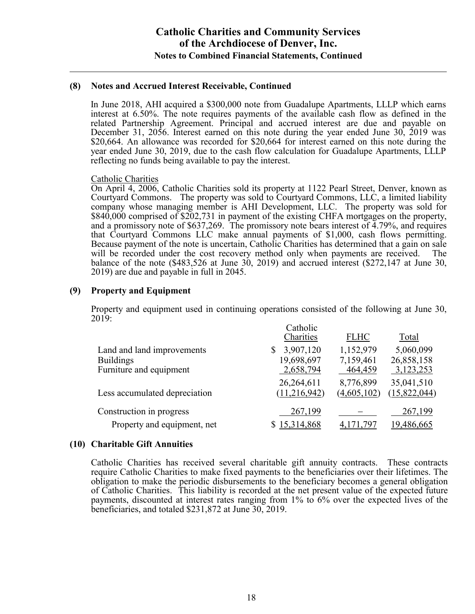#### **(8) Notes and Accrued Interest Receivable, Continued**

In June 2018, AHI acquired a \$300,000 note from Guadalupe Apartments, LLLP which earns interest at 6.50%. The note requires payments of the available cash flow as defined in the related Partnership Agreement. Principal and accrued interest are due and payable on December 31, 2056. Interest earned on this note during the year ended June 30, 2019 was \$20,664. An allowance was recorded for \$20,664 for interest earned on this note during the year ended June 30, 2019, due to the cash flow calculation for Guadalupe Apartments, LLLP reflecting no funds being available to pay the interest.

#### Catholic Charities

On April 4, 2006, Catholic Charities sold its property at 1122 Pearl Street, Denver, known as Courtyard Commons. The property was sold to Courtyard Commons, LLC, a limited liability company whose managing member is AHI Development, LLC. The property was sold for \$840,000 comprised of \$202,731 in payment of the existing CHFA mortgages on the property, and a promissory note of \$637,269. The promissory note bears interest of 4.79%, and requires that Courtyard Commons LLC make annual payments of \$1,000, cash flows permitting. Because payment of the note is uncertain, Catholic Charities has determined that a gain on sale will be recorded under the cost recovery method only when payments are received. The balance of the note (\$483,526 at June 30, 2019) and accrued interest (\$272,147 at June 30, 2019) are due and payable in full in 2045.

### **(9) Property and Equipment**

Property and equipment used in continuing operations consisted of the following at June 30, 2019:

| Catholic       |                      |              |
|----------------|----------------------|--------------|
| Charities      | <b>FLHC</b>          | Total        |
| 3,907,120      | 1,152,979            | 5,060,099    |
| 19,698,697     | 7,159,461            | 26,858,158   |
|                |                      | 3,123,253    |
| 26,264,611     | 8,776,899            | 35,041,510   |
| (11, 216, 942) | (4,605,102)          | (15,822,044) |
|                |                      |              |
|                |                      | 267,199      |
| 15,314,868     |                      | 19,486,665   |
|                | 2,658,794<br>267,199 | 464,459      |

### **(10) Charitable Gift Annuities**

Catholic Charities has received several charitable gift annuity contracts. These contracts require Catholic Charities to make fixed payments to the beneficiaries over their lifetimes. The obligation to make the periodic disbursements to the beneficiary becomes a general obligation of Catholic Charities. This liability is recorded at the net present value of the expected future payments, discounted at interest rates ranging from 1% to 6% over the expected lives of the beneficiaries, and totaled \$231,872 at June 30, 2019.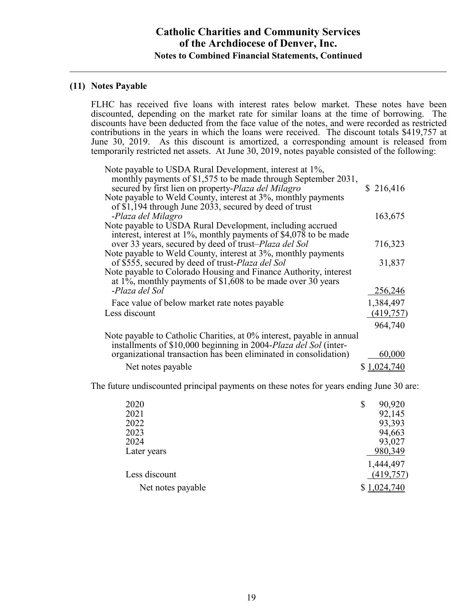### **(11) Notes Payable**

FLHC has received five loans with interest rates below market. These notes have been discounted, depending on the market rate for similar loans at the time of borrowing. The discounts have been deducted from the face value of the notes, and were recorded as restricted contributions in the years in which the loans were received. The discount totals \$419,757 at June 30, 2019. As this discount is amortized, a corresponding amount is released from temporarily restricted net assets. At June 30, 2019, notes payable consisted of the following:

| Note payable to USDA Rural Development, interest at 1%,<br>monthly payments of \$1,575 to be made through September 2031,<br>secured by first lien on property-Plaza del Milagro | \$216,416   |
|----------------------------------------------------------------------------------------------------------------------------------------------------------------------------------|-------------|
| Note payable to Weld County, interest at 3%, monthly payments<br>of \$1,194 through June 2033, secured by deed of trust                                                          |             |
| -Plaza del Milagro                                                                                                                                                               | 163,675     |
| Note payable to USDA Rural Development, including accrued<br>interest, interest at 1%, monthly payments of \$4,078 to be made                                                    |             |
| over 33 years, secured by deed of trust– <i>Plaza del Sol</i>                                                                                                                    | 716,323     |
| Note payable to Weld County, interest at 3%, monthly payments<br>of \$555, secured by deed of trust-Plaza del Sol                                                                | 31,837      |
| Note payable to Colorado Housing and Finance Authority, interest<br>at 1%, monthly payments of $$1,608$ to be made over 30 years                                                 |             |
| -Plaza del Sol                                                                                                                                                                   | 256,246     |
| Face value of below market rate notes payable                                                                                                                                    | 1,384,497   |
| Less discount                                                                                                                                                                    | (419,757)   |
|                                                                                                                                                                                  | 964,740     |
| Note payable to Catholic Charities, at 0% interest, payable in annual<br>installments of \$10,000 beginning in 2004-Plaza del Sol (inter-                                        |             |
| organizational transaction has been eliminated in consolidation)                                                                                                                 | 60,000      |
| Net notes payable                                                                                                                                                                | \$1,024,740 |

The future undiscounted principal payments on these notes for years ending June 30 are:

| 2020              | \$<br>90,920 |
|-------------------|--------------|
| 2021              | 92,145       |
| 2022              | 93,393       |
| 2023              | 94,663       |
| 2024              | 93,027       |
| Later years       | 980,349      |
|                   | 1,444,497    |
| Less discount     | (419, 757)   |
| Net notes payable | 024,740      |
|                   |              |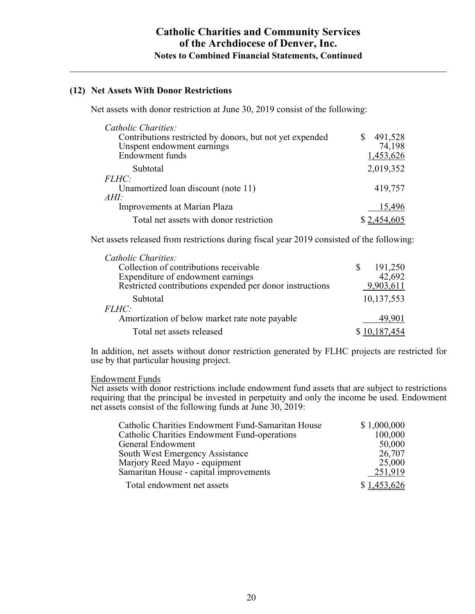### **(12) Net Assets With Donor Restrictions**

Net assets with donor restriction at June 30, 2019 consist of the following:

| Catholic Charities:                                      |             |
|----------------------------------------------------------|-------------|
| Contributions restricted by donors, but not yet expended | 491,528     |
| Unspent endowment earnings                               | 74,198      |
| Endowment funds                                          | 1,453,626   |
| Subtotal                                                 | 2,019,352   |
| <i>FLHC:</i>                                             |             |
| Unamortized loan discount (note 11)                      | 419,757     |
| AHI:                                                     |             |
| Improvements at Marian Plaza                             | 15,496      |
| Total net assets with donor restriction                  | \$2,454,605 |

Net assets released from restrictions during fiscal year 2019 consisted of the following:

| Catholic Charities:                                      |              |
|----------------------------------------------------------|--------------|
| Collection of contributions receivable                   | 191,250      |
| Expenditure of endowment earnings                        | 42,692       |
| Restricted contributions expended per donor instructions | 9,903,611    |
| Subtotal                                                 | 10,137,553   |
| <i>FLHC:</i>                                             |              |
| Amortization of below market rate note payable           | 49.901       |
| Total net assets released                                | \$10,187,454 |

In addition, net assets without donor restriction generated by FLHC projects are restricted for use by that particular housing project.

#### Endowment Funds

Net assets with donor restrictions include endowment fund assets that are subject to restrictions requiring that the principal be invested in perpetuity and only the income be used. Endowment net assets consist of the following funds at June 30, 2019:

| Catholic Charities Endowment Fund-Samaritan House | \$1,000,000 |
|---------------------------------------------------|-------------|
| Catholic Charities Endowment Fund-operations      | 100,000     |
| General Endowment                                 | 50,000      |
| South West Emergency Assistance                   | 26,707      |
| Marjory Reed Mayo - equipment                     | 25,000      |
| Samaritan House - capital improvements            | 251,919     |
| Total endowment net assets                        | \$1,453,626 |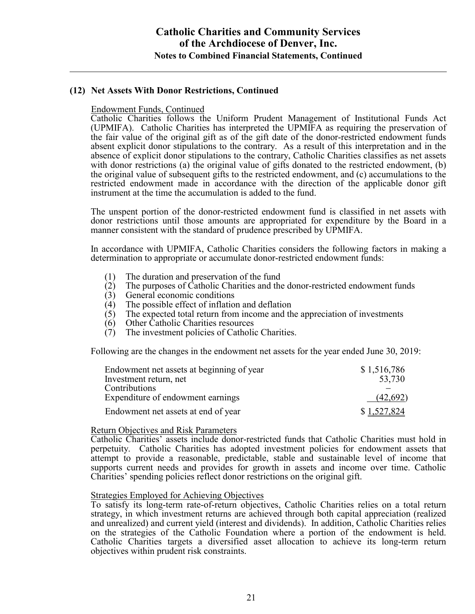### **(12) Net Assets With Donor Restrictions, Continued**

Endowment Funds, Continued

Catholic Charities follows the Uniform Prudent Management of Institutional Funds Act (UPMIFA). Catholic Charities has interpreted the UPMIFA as requiring the preservation of the fair value of the original gift as of the gift date of the donor-restricted endowment funds absent explicit donor stipulations to the contrary. As a result of this interpretation and in the absence of explicit donor stipulations to the contrary, Catholic Charities classifies as net assets with donor restrictions (a) the original value of gifts donated to the restricted endowment, (b) the original value of subsequent gifts to the restricted endowment, and (c) accumulations to the restricted endowment made in accordance with the direction of the applicable donor gift instrument at the time the accumulation is added to the fund.

The unspent portion of the donor-restricted endowment fund is classified in net assets with donor restrictions until those amounts are appropriated for expenditure by the Board in a manner consistent with the standard of prudence prescribed by UPMIFA.

In accordance with UPMIFA, Catholic Charities considers the following factors in making a determination to appropriate or accumulate donor-restricted endowment funds:

- (1) The duration and preservation of the fund<br>(2) The purposes of Catholic Charities and the
- (2) The purposes of Catholic Charities and the donor-restricted endowment funds (3) General economic conditions
- (3) General economic conditions<br>(4) The possible effect of inflation
- (4) The possible effect of inflation and deflation  $(5)$  The expected total return from income and the
- The expected total return from income and the appreciation of investments
- (6) Other Catholic Charities resources<br>(7) The investment policies of Catholi
- The investment policies of Catholic Charities.

Following are the changes in the endowment net assets for the year ended June 30, 2019:

| Endowment net assets at beginning of year | \$1,516,786 |
|-------------------------------------------|-------------|
| Investment return, net                    | 53,730      |
| <b>Contributions</b>                      |             |
| Expenditure of endowment earnings         | (42,692)    |
| Endowment net assets at end of year       | \$1,527,824 |

#### Return Objectives and Risk Parameters

Catholic Charities' assets include donor-restricted funds that Catholic Charities must hold in perpetuity. Catholic Charities has adopted investment policies for endowment assets that attempt to provide a reasonable, predictable, stable and sustainable level of income that supports current needs and provides for growth in assets and income over time. Catholic Charities' spending policies reflect donor restrictions on the original gift.

#### Strategies Employed for Achieving Objectives

To satisfy its long-term rate-of-return objectives, Catholic Charities relies on a total return strategy, in which investment returns are achieved through both capital appreciation (realized and unrealized) and current yield (interest and dividends). In addition, Catholic Charities relies on the strategies of the Catholic Foundation where a portion of the endowment is held. Catholic Charities targets a diversified asset allocation to achieve its long-term return objectives within prudent risk constraints.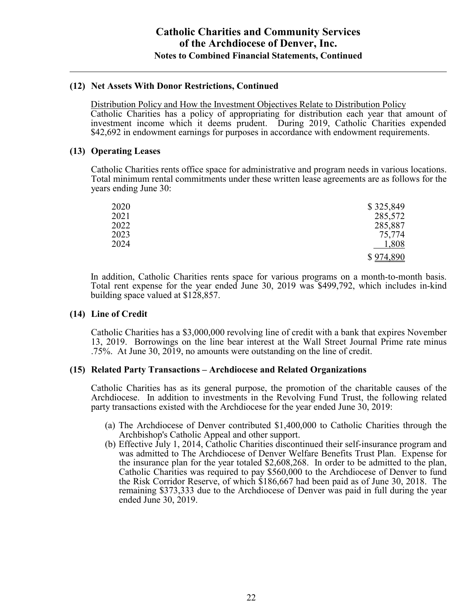### **(12) Net Assets With Donor Restrictions, Continued**

Distribution Policy and How the Investment Objectives Relate to Distribution Policy Catholic Charities has a policy of appropriating for distribution each year that amount of investment income which it deems prudent. During 2019, Catholic Charities expended \$42,692 in endowment earnings for purposes in accordance with endowment requirements.

### **(13) Operating Leases**

Catholic Charities rents office space for administrative and program needs in various locations. Total minimum rental commitments under these written lease agreements are as follows for the years ending June 30:

| 2020 | \$325,849 |
|------|-----------|
| 2021 | 285,572   |
| 2022 | 285,887   |
| 2023 | 75,774    |
| 2024 | 1,808     |
|      | \$974,890 |

In addition, Catholic Charities rents space for various programs on a month-to-month basis. Total rent expense for the year ended June 30, 2019 was \$499,792, which includes in-kind building space valued at \$128,857.

### **(14) Line of Credit**

Catholic Charities has a \$3,000,000 revolving line of credit with a bank that expires November 13, 2019. Borrowings on the line bear interest at the Wall Street Journal Prime rate minus .75%. At June 30, 2019, no amounts were outstanding on the line of credit.

### **(15) Related Party Transactions – Archdiocese and Related Organizations**

Catholic Charities has as its general purpose, the promotion of the charitable causes of the Archdiocese. In addition to investments in the Revolving Fund Trust, the following related party transactions existed with the Archdiocese for the year ended June 30, 2019:

- (a) The Archdiocese of Denver contributed \$1,400,000 to Catholic Charities through the Archbishop's Catholic Appeal and other support.
- (b) Effective July 1, 2014, Catholic Charities discontinued their self-insurance program and was admitted to The Archdiocese of Denver Welfare Benefits Trust Plan. Expense for the insurance plan for the year totaled \$2,608,268. In order to be admitted to the plan, Catholic Charities was required to pay \$560,000 to the Archdiocese of Denver to fund the Risk Corridor Reserve, of which \$186,667 had been paid as of June 30, 2018. The remaining \$373,333 due to the Archdiocese of Denver was paid in full during the year ended June 30, 2019.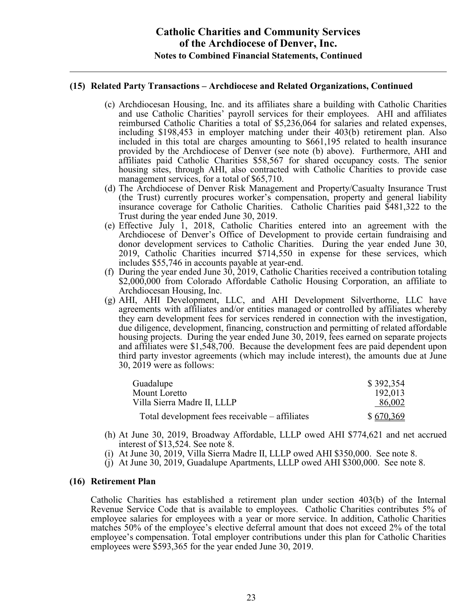### **(15) Related Party Transactions – Archdiocese and Related Organizations, Continued**

- (c) Archdiocesan Housing, Inc. and its affiliates share a building with Catholic Charities and use Catholic Charities' payroll services for their employees. AHI and affiliates reimbursed Catholic Charities a total of \$5,236,064 for salaries and related expenses, including \$198,453 in employer matching under their 403(b) retirement plan. Also included in this total are charges amounting to \$661,195 related to health insurance provided by the Archdiocese of Denver (see note (b) above). Furthermore, AHI and affiliates paid Catholic Charities \$58,567 for shared occupancy costs. The senior housing sites, through AHI, also contracted with Catholic Charities to provide case management services, for a total of \$65,710.
- (d) The Archdiocese of Denver Risk Management and Property/Casualty Insurance Trust (the Trust) currently procures worker's compensation, property and general liability insurance coverage for Catholic Charities. Catholic Charities paid \$481,322 to the Trust during the year ended June 30, 2019.
- (e) Effective July 1, 2018, Catholic Charities entered into an agreement with the Archdiocese of Denver's Office of Development to provide certain fundraising and donor development services to Catholic Charities. During the year ended June 30, 2019, Catholic Charities incurred \$714,550 in expense for these services, which includes \$55,746 in accounts payable at year-end.
- (f) During the year ended June 30, 2019, Catholic Charities received a contribution totaling \$2,000,000 from Colorado Affordable Catholic Housing Corporation, an affiliate to Archdiocesan Housing, Inc.
- (g) AHI, AHI Development, LLC, and AHI Development Silverthorne, LLC have agreements with affiliates and/or entities managed or controlled by affiliates whereby they earn development fees for services rendered in connection with the investigation, due diligence, development, financing, construction and permitting of related affordable housing projects. During the year ended June 30, 2019, fees earned on separate projects and affiliates were \$1,548,700. Because the development fees are paid dependent upon third party investor agreements (which may include interest), the amounts due at June 30, 2019 were as follows:

| Guadalupe                                      | \$392,354 |
|------------------------------------------------|-----------|
| Mount Loretto                                  | 192,013   |
| Villa Sierra Madre II, LLLP                    | 86,002    |
| Total development fees receivable – affiliates | \$670,369 |

- (h) At June 30, 2019, Broadway Affordable, LLLP owed AHI \$774,621 and net accrued interest of \$13,524. See note 8.
- (i) At June 30, 2019, Villa Sierra Madre II, LLLP owed AHI \$350,000. See note 8.
- (j) At June 30, 2019, Guadalupe Apartments, LLLP owed AHI \$300,000. See note 8.

#### **(16) Retirement Plan**

Catholic Charities has established a retirement plan under section 403(b) of the Internal Revenue Service Code that is available to employees. Catholic Charities contributes 5% of employee salaries for employees with a year or more service. In addition, Catholic Charities matches 50% of the employee's elective deferral amount that does not exceed 2% of the total employee's compensation. Total employer contributions under this plan for Catholic Charities employees were \$593,365 for the year ended June 30, 2019.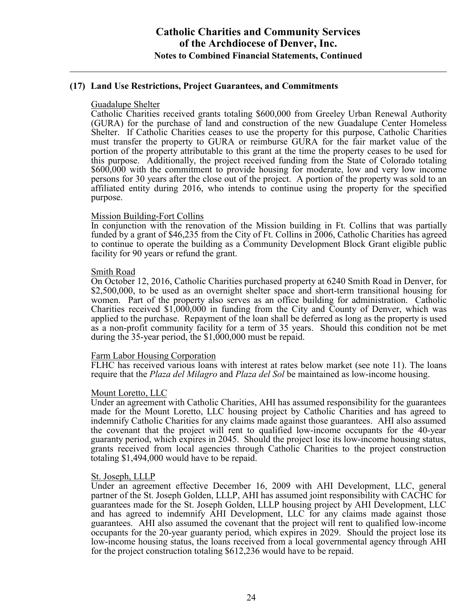### **(17) Land Use Restrictions, Project Guarantees, and Commitments**

#### Guadalupe Shelter

Catholic Charities received grants totaling \$600,000 from Greeley Urban Renewal Authority (GURA) for the purchase of land and construction of the new Guadalupe Center Homeless Shelter. If Catholic Charities ceases to use the property for this purpose, Catholic Charities must transfer the property to GURA or reimburse GURA for the fair market value of the portion of the property attributable to this grant at the time the property ceases to be used for this purpose. Additionally, the project received funding from the State of Colorado totaling \$600,000 with the commitment to provide housing for moderate, low and very low income persons for 30 years after the close out of the project. A portion of the property was sold to an affiliated entity during 2016, who intends to continue using the property for the specified purpose.

#### Mission Building-Fort Collins

In conjunction with the renovation of the Mission building in Ft. Collins that was partially funded by a grant of \$46,235 from the City of Ft. Collins in 2006, Catholic Charities has agreed to continue to operate the building as a Community Development Block Grant eligible public facility for 90 years or refund the grant.

#### Smith Road

On October 12, 2016, Catholic Charities purchased property at 6240 Smith Road in Denver, for \$2,500,000, to be used as an overnight shelter space and short-term transitional housing for women. Part of the property also serves as an office building for administration. Catholic Charities received \$1,000,000 in funding from the City and County of Denver, which was applied to the purchase. Repayment of the loan shall be deferred as long as the property is used as a non-profit community facility for a term of 35 years. Should this condition not be met during the 35-year period, the \$1,000,000 must be repaid.

#### Farm Labor Housing Corporation

FLHC has received various loans with interest at rates below market (see note 11). The loans require that the *Plaza del Milagro* and *Plaza del Sol* be maintained as low-income housing.

#### Mount Loretto, LLC

Under an agreement with Catholic Charities, AHI has assumed responsibility for the guarantees made for the Mount Loretto, LLC housing project by Catholic Charities and has agreed to indemnify Catholic Charities for any claims made against those guarantees. AHI also assumed the covenant that the project will rent to qualified low-income occupants for the 40-year guaranty period, which expires in 2045. Should the project lose its low-income housing status, grants received from local agencies through Catholic Charities to the project construction totaling \$1,494,000 would have to be repaid.

#### St. Joseph, LLLP

Under an agreement effective December 16, 2009 with AHI Development, LLC, general partner of the St. Joseph Golden, LLLP, AHI has assumed joint responsibility with CACHC for guarantees made for the St. Joseph Golden, LLLP housing project by AHI Development, LLC and has agreed to indemnify AHI Development, LLC for any claims made against those guarantees. AHI also assumed the covenant that the project will rent to qualified low-income occupants for the 20-year guaranty period, which expires in 2029. Should the project lose its low-income housing status, the loans received from a local governmental agency through AHI for the project construction totaling \$612,236 would have to be repaid.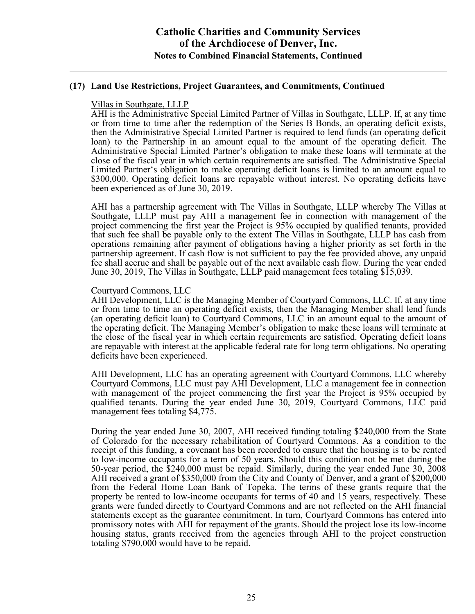### **(17) Land Use Restrictions, Project Guarantees, and Commitments, Continued**

#### Villas in Southgate, LLLP

AHI is the Administrative Special Limited Partner of Villas in Southgate, LLLP. If, at any time or from time to time after the redemption of the Series B Bonds, an operating deficit exists, then the Administrative Special Limited Partner is required to lend funds (an operating deficit loan) to the Partnership in an amount equal to the amount of the operating deficit. The Administrative Special Limited Partner's obligation to make these loans will terminate at the close of the fiscal year in which certain requirements are satisfied. The Administrative Special Limited Partner's obligation to make operating deficit loans is limited to an amount equal to \$300,000. Operating deficit loans are repayable without interest. No operating deficits have been experienced as of June 30, 2019.

AHI has a partnership agreement with The Villas in Southgate, LLLP whereby The Villas at Southgate, LLLP must pay AHI a management fee in connection with management of the project commencing the first year the Project is 95% occupied by qualified tenants, provided that such fee shall be payable only to the extent The Villas in Southgate, LLLP has cash from operations remaining after payment of obligations having a higher priority as set forth in the partnership agreement. If cash flow is not sufficient to pay the fee provided above, any unpaid fee shall accrue and shall be payable out of the next available cash flow. During the year ended June 30, 2019, The Villas in Southgate, LLLP paid management fees totaling \$15,039.

#### Courtyard Commons, LLC

AHI Development, LLC is the Managing Member of Courtyard Commons, LLC. If, at any time or from time to time an operating deficit exists, then the Managing Member shall lend funds (an operating deficit loan) to Courtyard Commons, LLC in an amount equal to the amount of the operating deficit. The Managing Member's obligation to make these loans will terminate at the close of the fiscal year in which certain requirements are satisfied. Operating deficit loans are repayable with interest at the applicable federal rate for long term obligations. No operating deficits have been experienced.

AHI Development, LLC has an operating agreement with Courtyard Commons, LLC whereby Courtyard Commons, LLC must pay AHI Development, LLC a management fee in connection with management of the project commencing the first year the Project is 95% occupied by qualified tenants. During the year ended June 30, 2019, Courtyard Commons, LLC paid management fees totaling \$4,775.

During the year ended June 30, 2007, AHI received funding totaling \$240,000 from the State of Colorado for the necessary rehabilitation of Courtyard Commons. As a condition to the receipt of this funding, a covenant has been recorded to ensure that the housing is to be rented to low-income occupants for a term of 50 years. Should this condition not be met during the 50-year period, the \$240,000 must be repaid. Similarly, during the year ended June 30, 2008 AHI received a grant of \$350,000 from the City and County of Denver, and a grant of \$200,000 from the Federal Home Loan Bank of Topeka. The terms of these grants require that the property be rented to low-income occupants for terms of 40 and 15 years, respectively. These grants were funded directly to Courtyard Commons and are not reflected on the AHI financial statements except as the guarantee commitment. In turn, Courtyard Commons has entered into promissory notes with AHI for repayment of the grants. Should the project lose its low-income housing status, grants received from the agencies through AHI to the project construction totaling \$790,000 would have to be repaid.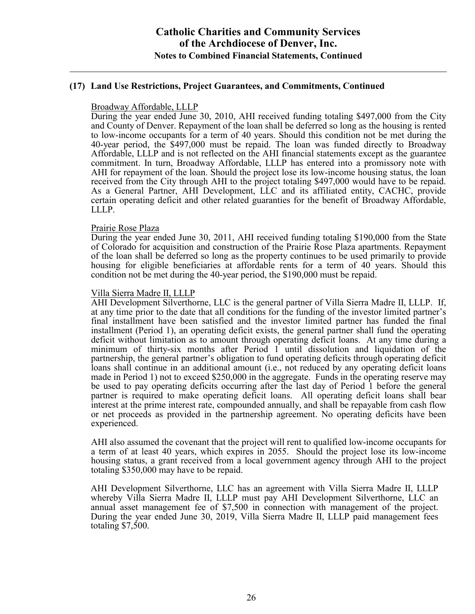### **(17) Land Use Restrictions, Project Guarantees, and Commitments, Continued**

#### Broadway Affordable, LLLP

During the year ended June 30, 2010, AHI received funding totaling \$497,000 from the City and County of Denver. Repayment of the loan shall be deferred so long as the housing is rented to low-income occupants for a term of 40 years. Should this condition not be met during the 40-year period, the \$497,000 must be repaid. The loan was funded directly to Broadway Affordable, LLLP and is not reflected on the AHI financial statements except as the guarantee commitment. In turn, Broadway Affordable, LLLP has entered into a promissory note with AHI for repayment of the loan. Should the project lose its low-income housing status, the loan received from the City through AHI to the project totaling \$497,000 would have to be repaid. As a General Partner, AHI Development, LLC and its affiliated entity, CACHC, provide certain operating deficit and other related guaranties for the benefit of Broadway Affordable, LLLP.

#### Prairie Rose Plaza

During the year ended June 30, 2011, AHI received funding totaling \$190,000 from the State of Colorado for acquisition and construction of the Prairie Rose Plaza apartments. Repayment of the loan shall be deferred so long as the property continues to be used primarily to provide housing for eligible beneficiaries at affordable rents for a term of 40 years. Should this condition not be met during the 40-year period, the \$190,000 must be repaid.

### Villa Sierra Madre II, LLLP

AHI Development Silverthorne, LLC is the general partner of Villa Sierra Madre II, LLLP. If, at any time prior to the date that all conditions for the funding of the investor limited partner's final installment have been satisfied and the investor limited partner has funded the final installment (Period 1), an operating deficit exists, the general partner shall fund the operating deficit without limitation as to amount through operating deficit loans. At any time during a minimum of thirty-six months after Period 1 until dissolution and liquidation of the partnership, the general partner's obligation to fund operating deficits through operating deficit loans shall continue in an additional amount (i.e., not reduced by any operating deficit loans made in Period 1) not to exceed \$250,000 in the aggregate. Funds in the operating reserve may be used to pay operating deficits occurring after the last day of Period 1 before the general partner is required to make operating deficit loans. All operating deficit loans shall bear interest at the prime interest rate, compounded annually, and shall be repayable from cash flow or net proceeds as provided in the partnership agreement. No operating deficits have been experienced.

AHI also assumed the covenant that the project will rent to qualified low-income occupants for a term of at least 40 years, which expires in 2055. Should the project lose its low-income housing status, a grant received from a local government agency through AHI to the project totaling \$350,000 may have to be repaid.

AHI Development Silverthorne, LLC has an agreement with Villa Sierra Madre II, LLLP whereby Villa Sierra Madre II, LLLP must pay AHI Development Silverthorne, LLC an annual asset management fee of \$7,500 in connection with management of the project. During the year ended June 30, 2019, Villa Sierra Madre II, LLLP paid management fees totaling \$7,500.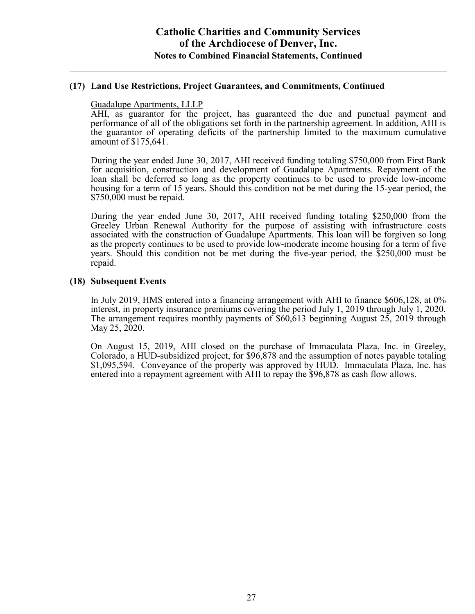#### **(17) Land Use Restrictions, Project Guarantees, and Commitments, Continued**

#### Guadalupe Apartments, LLLP

AHI, as guarantor for the project, has guaranteed the due and punctual payment and performance of all of the obligations set forth in the partnership agreement. In addition, AHI is the guarantor of operating deficits of the partnership limited to the maximum cumulative amount of \$175,641.

During the year ended June 30, 2017, AHI received funding totaling \$750,000 from First Bank for acquisition, construction and development of Guadalupe Apartments. Repayment of the loan shall be deferred so long as the property continues to be used to provide low-income housing for a term of 15 years. Should this condition not be met during the 15-year period, the \$750,000 must be repaid.

During the year ended June 30, 2017, AHI received funding totaling \$250,000 from the Greeley Urban Renewal Authority for the purpose of assisting with infrastructure costs associated with the construction of Guadalupe Apartments. This loan will be forgiven so long as the property continues to be used to provide low-moderate income housing for a term of five years. Should this condition not be met during the five-year period, the \$250,000 must be repaid.

#### **(18) Subsequent Events**

In July 2019, HMS entered into a financing arrangement with AHI to finance \$606,128, at 0% interest, in property insurance premiums covering the period July 1, 2019 through July 1, 2020. The arrangement requires monthly payments of \$60,613 beginning August 25, 2019 through May 25, 2020.

On August 15, 2019, AHI closed on the purchase of Immaculata Plaza, Inc. in Greeley, Colorado, a HUD-subsidized project, for \$96,878 and the assumption of notes payable totaling \$1,095,594. Conveyance of the property was approved by HUD. Immaculata Plaza, Inc. has entered into a repayment agreement with AHI to repay the \$96,878 as cash flow allows.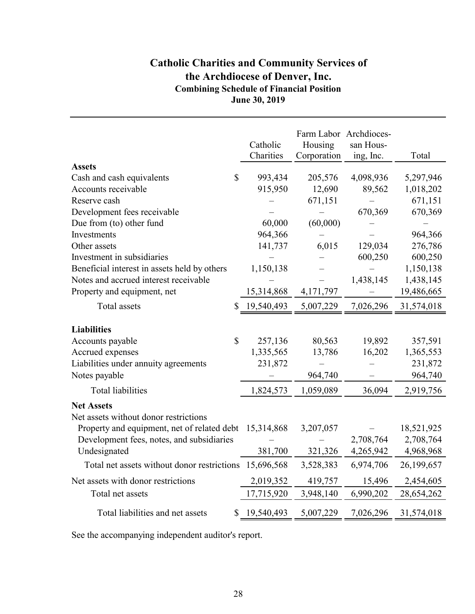# **Catholic Charities and Community Services of the Archdiocese of Denver, Inc. Combining Schedule of Financial Position June 30, 2019**

|                                                            |              | Catholic<br>Charities | Farm Labor Archdioces-<br>Housing<br>Corporation | san Hous-<br>ing, Inc. | Total      |
|------------------------------------------------------------|--------------|-----------------------|--------------------------------------------------|------------------------|------------|
| <b>Assets</b>                                              |              |                       |                                                  |                        |            |
| Cash and cash equivalents                                  | $\mathbb{S}$ | 993,434               | 205,576                                          | 4,098,936              | 5,297,946  |
| Accounts receivable                                        |              | 915,950               | 12,690                                           | 89,562                 | 1,018,202  |
| Reserve cash                                               |              |                       | 671,151                                          |                        | 671,151    |
| Development fees receivable                                |              |                       |                                                  | 670,369                | 670,369    |
| Due from (to) other fund                                   |              | 60,000                | (60,000)                                         |                        |            |
| Investments                                                |              | 964,366               |                                                  |                        | 964,366    |
| Other assets                                               |              | 141,737               | 6,015                                            | 129,034                | 276,786    |
| Investment in subsidiaries                                 |              |                       |                                                  | 600,250                | 600,250    |
| Beneficial interest in assets held by others               |              | 1,150,138             |                                                  |                        | 1,150,138  |
| Notes and accrued interest receivable                      |              |                       |                                                  | 1,438,145              | 1,438,145  |
| Property and equipment, net                                |              | 15,314,868            | 4,171,797                                        |                        | 19,486,665 |
| Total assets                                               |              | 19,540,493            | 5,007,229                                        | 7,026,296              | 31,574,018 |
| <b>Liabilities</b>                                         |              |                       |                                                  |                        |            |
| Accounts payable                                           | $\mathbb{S}$ | 257,136               | 80,563                                           | 19,892                 | 357,591    |
| Accrued expenses                                           |              | 1,335,565             | 13,786                                           | 16,202                 | 1,365,553  |
| Liabilities under annuity agreements                       |              | 231,872               |                                                  |                        | 231,872    |
| Notes payable                                              |              |                       | 964,740                                          |                        | 964,740    |
| <b>Total liabilities</b>                                   |              | 1,824,573             | 1,059,089                                        | 36,094                 | 2,919,756  |
| <b>Net Assets</b><br>Net assets without donor restrictions |              |                       |                                                  |                        |            |
| Property and equipment, net of related debt 15,314,868     |              |                       | 3,207,057                                        |                        | 18,521,925 |
| Development fees, notes, and subsidiaries                  |              |                       |                                                  | 2,708,764              | 2,708,764  |
| Undesignated                                               |              | 381,700               | 321,326                                          | 4,265,942              | 4,968,968  |
| Total net assets without donor restrictions 15,696,568     |              |                       | 3,528,383                                        | 6,974,706              | 26,199,657 |
| Net assets with donor restrictions                         |              | 2,019,352             | 419,757                                          | 15,496                 | 2,454,605  |
| Total net assets                                           |              | 17,715,920            | 3,948,140                                        | 6,990,202              | 28,654,262 |
| Total liabilities and net assets                           | \$           | 19,540,493            | 5,007,229                                        | 7,026,296              | 31,574,018 |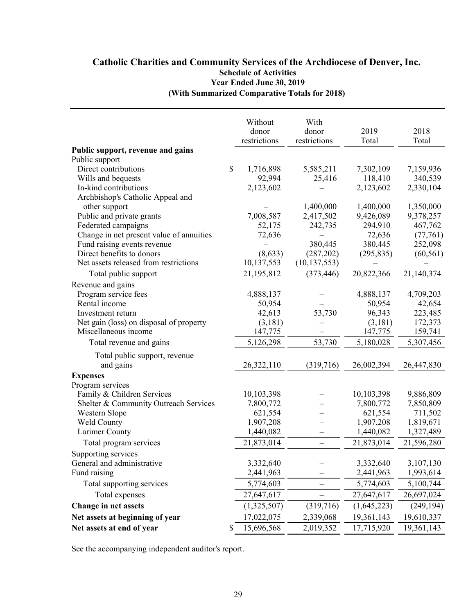### **(With Summarized Comparative Totals for 2018) Catholic Charities and Community Services of the Archdiocese of Denver, Inc. Schedule of Activities Year Ended June 30, 2019**

| Public support, revenue and gains<br>Public support<br>\$<br>Direct contributions<br>1,716,898<br>5,585,211<br>7,302,109<br>7,159,936<br>92,994<br>118,410<br>340,539<br>Wills and bequests<br>25,416<br>In-kind contributions<br>2,123,602<br>2,123,602<br>2,330,104<br>Archbishop's Catholic Appeal and<br>1,400,000<br>1,400,000<br>1,350,000<br>other support<br>Public and private grants<br>9,426,089<br>7,008,587<br>2,417,502<br>9,378,257<br>Federated campaigns<br>52,175<br>242,735<br>294,910<br>467,762<br>Change in net present value of annuities<br>72,636<br>(77,761)<br>72,636<br>380,445<br>380,445<br>Fund raising events revenue<br>252,098<br>Direct benefits to donors<br>(8, 633)<br>(287,202)<br>(295, 835)<br>(60, 561)<br>Net assets released from restrictions<br>10,137,553<br>(10, 137, 553)<br>Total public support<br>21,195,812<br>20,822,366<br>(373, 446)<br>21,140,374<br>Revenue and gains<br>Program service fees<br>4,888,137<br>4,888,137<br>4,709,203<br>Rental income<br>50,954<br>50,954<br>42,654<br>96,343<br>223,485<br>42,613<br>53,730<br>Investment return<br>172,373<br>Net gain (loss) on disposal of property<br>(3,181)<br>(3,181)<br>147,775<br>147,775<br>159,741<br>Miscellaneous income<br>5,126,298<br>53,730<br>5,180,028<br>5,307,456<br>Total revenue and gains<br>Total public support, revenue<br>and gains<br>26,322,110<br>(319,716)<br>26,002,394<br>26,447,830<br><b>Expenses</b><br>Program services<br>Family & Children Services<br>10,103,398<br>10,103,398<br>9,886,809<br>Shelter & Community Outreach Services<br>7,800,772<br>7,800,772<br>7,850,809<br>Western Slope<br>621,554<br>621,554<br>711,502<br>Weld County<br>1,907,208<br>1,907,208<br>1,819,671<br>Larimer County<br>1,440,082<br>1,440,082<br>1,327,489<br>$\qquad \qquad -$<br>21,873,014<br>21,873,014<br>21,596,280<br>Total program services<br>$\overline{\phantom{0}}$<br>Supporting services<br>General and administrative<br>3,332,640<br>3,332,640<br>3,107,130<br>Fund raising<br>2,441,963<br>2,441,963<br>1,993,614<br>Total supporting services<br>5,774,603<br>5,774,603<br>5,100,744<br>Total expenses<br>27,647,617<br>27,647,617<br>26,697,024<br>Change in net assets<br>(1,325,507)<br>(319,716)<br>(1,645,223)<br>Net assets at beginning of year<br>17,022,075<br>2,339,068<br>19,361,143<br>19,610,337<br>Net assets at end of year<br>15,696,568<br>19,361,143<br>\$<br>2,019,352<br>17,715,920 |  | Without<br>donor<br>restrictions | With<br>donor<br>restrictions | 2019<br>Total | 2018<br>Total |
|-----------------------------------------------------------------------------------------------------------------------------------------------------------------------------------------------------------------------------------------------------------------------------------------------------------------------------------------------------------------------------------------------------------------------------------------------------------------------------------------------------------------------------------------------------------------------------------------------------------------------------------------------------------------------------------------------------------------------------------------------------------------------------------------------------------------------------------------------------------------------------------------------------------------------------------------------------------------------------------------------------------------------------------------------------------------------------------------------------------------------------------------------------------------------------------------------------------------------------------------------------------------------------------------------------------------------------------------------------------------------------------------------------------------------------------------------------------------------------------------------------------------------------------------------------------------------------------------------------------------------------------------------------------------------------------------------------------------------------------------------------------------------------------------------------------------------------------------------------------------------------------------------------------------------------------------------------------------------------------------------------------------------------------------------------------------------------------------------------------------------------------------------------------------------------------------------------------------------------------------------------------------------------------------------------------------------------------------------------------------------------------------------------------------------------------------------------------------|--|----------------------------------|-------------------------------|---------------|---------------|
|                                                                                                                                                                                                                                                                                                                                                                                                                                                                                                                                                                                                                                                                                                                                                                                                                                                                                                                                                                                                                                                                                                                                                                                                                                                                                                                                                                                                                                                                                                                                                                                                                                                                                                                                                                                                                                                                                                                                                                                                                                                                                                                                                                                                                                                                                                                                                                                                                                                                 |  |                                  |                               |               |               |
|                                                                                                                                                                                                                                                                                                                                                                                                                                                                                                                                                                                                                                                                                                                                                                                                                                                                                                                                                                                                                                                                                                                                                                                                                                                                                                                                                                                                                                                                                                                                                                                                                                                                                                                                                                                                                                                                                                                                                                                                                                                                                                                                                                                                                                                                                                                                                                                                                                                                 |  |                                  |                               |               |               |
|                                                                                                                                                                                                                                                                                                                                                                                                                                                                                                                                                                                                                                                                                                                                                                                                                                                                                                                                                                                                                                                                                                                                                                                                                                                                                                                                                                                                                                                                                                                                                                                                                                                                                                                                                                                                                                                                                                                                                                                                                                                                                                                                                                                                                                                                                                                                                                                                                                                                 |  |                                  |                               |               |               |
|                                                                                                                                                                                                                                                                                                                                                                                                                                                                                                                                                                                                                                                                                                                                                                                                                                                                                                                                                                                                                                                                                                                                                                                                                                                                                                                                                                                                                                                                                                                                                                                                                                                                                                                                                                                                                                                                                                                                                                                                                                                                                                                                                                                                                                                                                                                                                                                                                                                                 |  |                                  |                               |               |               |
|                                                                                                                                                                                                                                                                                                                                                                                                                                                                                                                                                                                                                                                                                                                                                                                                                                                                                                                                                                                                                                                                                                                                                                                                                                                                                                                                                                                                                                                                                                                                                                                                                                                                                                                                                                                                                                                                                                                                                                                                                                                                                                                                                                                                                                                                                                                                                                                                                                                                 |  |                                  |                               |               |               |
|                                                                                                                                                                                                                                                                                                                                                                                                                                                                                                                                                                                                                                                                                                                                                                                                                                                                                                                                                                                                                                                                                                                                                                                                                                                                                                                                                                                                                                                                                                                                                                                                                                                                                                                                                                                                                                                                                                                                                                                                                                                                                                                                                                                                                                                                                                                                                                                                                                                                 |  |                                  |                               |               |               |
|                                                                                                                                                                                                                                                                                                                                                                                                                                                                                                                                                                                                                                                                                                                                                                                                                                                                                                                                                                                                                                                                                                                                                                                                                                                                                                                                                                                                                                                                                                                                                                                                                                                                                                                                                                                                                                                                                                                                                                                                                                                                                                                                                                                                                                                                                                                                                                                                                                                                 |  |                                  |                               |               |               |
|                                                                                                                                                                                                                                                                                                                                                                                                                                                                                                                                                                                                                                                                                                                                                                                                                                                                                                                                                                                                                                                                                                                                                                                                                                                                                                                                                                                                                                                                                                                                                                                                                                                                                                                                                                                                                                                                                                                                                                                                                                                                                                                                                                                                                                                                                                                                                                                                                                                                 |  |                                  |                               |               |               |
|                                                                                                                                                                                                                                                                                                                                                                                                                                                                                                                                                                                                                                                                                                                                                                                                                                                                                                                                                                                                                                                                                                                                                                                                                                                                                                                                                                                                                                                                                                                                                                                                                                                                                                                                                                                                                                                                                                                                                                                                                                                                                                                                                                                                                                                                                                                                                                                                                                                                 |  |                                  |                               |               |               |
|                                                                                                                                                                                                                                                                                                                                                                                                                                                                                                                                                                                                                                                                                                                                                                                                                                                                                                                                                                                                                                                                                                                                                                                                                                                                                                                                                                                                                                                                                                                                                                                                                                                                                                                                                                                                                                                                                                                                                                                                                                                                                                                                                                                                                                                                                                                                                                                                                                                                 |  |                                  |                               |               |               |
|                                                                                                                                                                                                                                                                                                                                                                                                                                                                                                                                                                                                                                                                                                                                                                                                                                                                                                                                                                                                                                                                                                                                                                                                                                                                                                                                                                                                                                                                                                                                                                                                                                                                                                                                                                                                                                                                                                                                                                                                                                                                                                                                                                                                                                                                                                                                                                                                                                                                 |  |                                  |                               |               |               |
|                                                                                                                                                                                                                                                                                                                                                                                                                                                                                                                                                                                                                                                                                                                                                                                                                                                                                                                                                                                                                                                                                                                                                                                                                                                                                                                                                                                                                                                                                                                                                                                                                                                                                                                                                                                                                                                                                                                                                                                                                                                                                                                                                                                                                                                                                                                                                                                                                                                                 |  |                                  |                               |               |               |
|                                                                                                                                                                                                                                                                                                                                                                                                                                                                                                                                                                                                                                                                                                                                                                                                                                                                                                                                                                                                                                                                                                                                                                                                                                                                                                                                                                                                                                                                                                                                                                                                                                                                                                                                                                                                                                                                                                                                                                                                                                                                                                                                                                                                                                                                                                                                                                                                                                                                 |  |                                  |                               |               |               |
|                                                                                                                                                                                                                                                                                                                                                                                                                                                                                                                                                                                                                                                                                                                                                                                                                                                                                                                                                                                                                                                                                                                                                                                                                                                                                                                                                                                                                                                                                                                                                                                                                                                                                                                                                                                                                                                                                                                                                                                                                                                                                                                                                                                                                                                                                                                                                                                                                                                                 |  |                                  |                               |               |               |
|                                                                                                                                                                                                                                                                                                                                                                                                                                                                                                                                                                                                                                                                                                                                                                                                                                                                                                                                                                                                                                                                                                                                                                                                                                                                                                                                                                                                                                                                                                                                                                                                                                                                                                                                                                                                                                                                                                                                                                                                                                                                                                                                                                                                                                                                                                                                                                                                                                                                 |  |                                  |                               |               |               |
|                                                                                                                                                                                                                                                                                                                                                                                                                                                                                                                                                                                                                                                                                                                                                                                                                                                                                                                                                                                                                                                                                                                                                                                                                                                                                                                                                                                                                                                                                                                                                                                                                                                                                                                                                                                                                                                                                                                                                                                                                                                                                                                                                                                                                                                                                                                                                                                                                                                                 |  |                                  |                               |               |               |
|                                                                                                                                                                                                                                                                                                                                                                                                                                                                                                                                                                                                                                                                                                                                                                                                                                                                                                                                                                                                                                                                                                                                                                                                                                                                                                                                                                                                                                                                                                                                                                                                                                                                                                                                                                                                                                                                                                                                                                                                                                                                                                                                                                                                                                                                                                                                                                                                                                                                 |  |                                  |                               |               |               |
|                                                                                                                                                                                                                                                                                                                                                                                                                                                                                                                                                                                                                                                                                                                                                                                                                                                                                                                                                                                                                                                                                                                                                                                                                                                                                                                                                                                                                                                                                                                                                                                                                                                                                                                                                                                                                                                                                                                                                                                                                                                                                                                                                                                                                                                                                                                                                                                                                                                                 |  |                                  |                               |               |               |
|                                                                                                                                                                                                                                                                                                                                                                                                                                                                                                                                                                                                                                                                                                                                                                                                                                                                                                                                                                                                                                                                                                                                                                                                                                                                                                                                                                                                                                                                                                                                                                                                                                                                                                                                                                                                                                                                                                                                                                                                                                                                                                                                                                                                                                                                                                                                                                                                                                                                 |  |                                  |                               |               |               |
|                                                                                                                                                                                                                                                                                                                                                                                                                                                                                                                                                                                                                                                                                                                                                                                                                                                                                                                                                                                                                                                                                                                                                                                                                                                                                                                                                                                                                                                                                                                                                                                                                                                                                                                                                                                                                                                                                                                                                                                                                                                                                                                                                                                                                                                                                                                                                                                                                                                                 |  |                                  |                               |               |               |
|                                                                                                                                                                                                                                                                                                                                                                                                                                                                                                                                                                                                                                                                                                                                                                                                                                                                                                                                                                                                                                                                                                                                                                                                                                                                                                                                                                                                                                                                                                                                                                                                                                                                                                                                                                                                                                                                                                                                                                                                                                                                                                                                                                                                                                                                                                                                                                                                                                                                 |  |                                  |                               |               |               |
|                                                                                                                                                                                                                                                                                                                                                                                                                                                                                                                                                                                                                                                                                                                                                                                                                                                                                                                                                                                                                                                                                                                                                                                                                                                                                                                                                                                                                                                                                                                                                                                                                                                                                                                                                                                                                                                                                                                                                                                                                                                                                                                                                                                                                                                                                                                                                                                                                                                                 |  |                                  |                               |               |               |
|                                                                                                                                                                                                                                                                                                                                                                                                                                                                                                                                                                                                                                                                                                                                                                                                                                                                                                                                                                                                                                                                                                                                                                                                                                                                                                                                                                                                                                                                                                                                                                                                                                                                                                                                                                                                                                                                                                                                                                                                                                                                                                                                                                                                                                                                                                                                                                                                                                                                 |  |                                  |                               |               |               |
|                                                                                                                                                                                                                                                                                                                                                                                                                                                                                                                                                                                                                                                                                                                                                                                                                                                                                                                                                                                                                                                                                                                                                                                                                                                                                                                                                                                                                                                                                                                                                                                                                                                                                                                                                                                                                                                                                                                                                                                                                                                                                                                                                                                                                                                                                                                                                                                                                                                                 |  |                                  |                               |               |               |
|                                                                                                                                                                                                                                                                                                                                                                                                                                                                                                                                                                                                                                                                                                                                                                                                                                                                                                                                                                                                                                                                                                                                                                                                                                                                                                                                                                                                                                                                                                                                                                                                                                                                                                                                                                                                                                                                                                                                                                                                                                                                                                                                                                                                                                                                                                                                                                                                                                                                 |  |                                  |                               |               |               |
|                                                                                                                                                                                                                                                                                                                                                                                                                                                                                                                                                                                                                                                                                                                                                                                                                                                                                                                                                                                                                                                                                                                                                                                                                                                                                                                                                                                                                                                                                                                                                                                                                                                                                                                                                                                                                                                                                                                                                                                                                                                                                                                                                                                                                                                                                                                                                                                                                                                                 |  |                                  |                               |               |               |
|                                                                                                                                                                                                                                                                                                                                                                                                                                                                                                                                                                                                                                                                                                                                                                                                                                                                                                                                                                                                                                                                                                                                                                                                                                                                                                                                                                                                                                                                                                                                                                                                                                                                                                                                                                                                                                                                                                                                                                                                                                                                                                                                                                                                                                                                                                                                                                                                                                                                 |  |                                  |                               |               |               |
|                                                                                                                                                                                                                                                                                                                                                                                                                                                                                                                                                                                                                                                                                                                                                                                                                                                                                                                                                                                                                                                                                                                                                                                                                                                                                                                                                                                                                                                                                                                                                                                                                                                                                                                                                                                                                                                                                                                                                                                                                                                                                                                                                                                                                                                                                                                                                                                                                                                                 |  |                                  |                               |               |               |
|                                                                                                                                                                                                                                                                                                                                                                                                                                                                                                                                                                                                                                                                                                                                                                                                                                                                                                                                                                                                                                                                                                                                                                                                                                                                                                                                                                                                                                                                                                                                                                                                                                                                                                                                                                                                                                                                                                                                                                                                                                                                                                                                                                                                                                                                                                                                                                                                                                                                 |  |                                  |                               |               |               |
|                                                                                                                                                                                                                                                                                                                                                                                                                                                                                                                                                                                                                                                                                                                                                                                                                                                                                                                                                                                                                                                                                                                                                                                                                                                                                                                                                                                                                                                                                                                                                                                                                                                                                                                                                                                                                                                                                                                                                                                                                                                                                                                                                                                                                                                                                                                                                                                                                                                                 |  |                                  |                               |               |               |
|                                                                                                                                                                                                                                                                                                                                                                                                                                                                                                                                                                                                                                                                                                                                                                                                                                                                                                                                                                                                                                                                                                                                                                                                                                                                                                                                                                                                                                                                                                                                                                                                                                                                                                                                                                                                                                                                                                                                                                                                                                                                                                                                                                                                                                                                                                                                                                                                                                                                 |  |                                  |                               |               |               |
|                                                                                                                                                                                                                                                                                                                                                                                                                                                                                                                                                                                                                                                                                                                                                                                                                                                                                                                                                                                                                                                                                                                                                                                                                                                                                                                                                                                                                                                                                                                                                                                                                                                                                                                                                                                                                                                                                                                                                                                                                                                                                                                                                                                                                                                                                                                                                                                                                                                                 |  |                                  |                               |               |               |
|                                                                                                                                                                                                                                                                                                                                                                                                                                                                                                                                                                                                                                                                                                                                                                                                                                                                                                                                                                                                                                                                                                                                                                                                                                                                                                                                                                                                                                                                                                                                                                                                                                                                                                                                                                                                                                                                                                                                                                                                                                                                                                                                                                                                                                                                                                                                                                                                                                                                 |  |                                  |                               |               |               |
|                                                                                                                                                                                                                                                                                                                                                                                                                                                                                                                                                                                                                                                                                                                                                                                                                                                                                                                                                                                                                                                                                                                                                                                                                                                                                                                                                                                                                                                                                                                                                                                                                                                                                                                                                                                                                                                                                                                                                                                                                                                                                                                                                                                                                                                                                                                                                                                                                                                                 |  |                                  |                               |               |               |
|                                                                                                                                                                                                                                                                                                                                                                                                                                                                                                                                                                                                                                                                                                                                                                                                                                                                                                                                                                                                                                                                                                                                                                                                                                                                                                                                                                                                                                                                                                                                                                                                                                                                                                                                                                                                                                                                                                                                                                                                                                                                                                                                                                                                                                                                                                                                                                                                                                                                 |  |                                  |                               |               | (249, 194)    |
|                                                                                                                                                                                                                                                                                                                                                                                                                                                                                                                                                                                                                                                                                                                                                                                                                                                                                                                                                                                                                                                                                                                                                                                                                                                                                                                                                                                                                                                                                                                                                                                                                                                                                                                                                                                                                                                                                                                                                                                                                                                                                                                                                                                                                                                                                                                                                                                                                                                                 |  |                                  |                               |               |               |
|                                                                                                                                                                                                                                                                                                                                                                                                                                                                                                                                                                                                                                                                                                                                                                                                                                                                                                                                                                                                                                                                                                                                                                                                                                                                                                                                                                                                                                                                                                                                                                                                                                                                                                                                                                                                                                                                                                                                                                                                                                                                                                                                                                                                                                                                                                                                                                                                                                                                 |  |                                  |                               |               |               |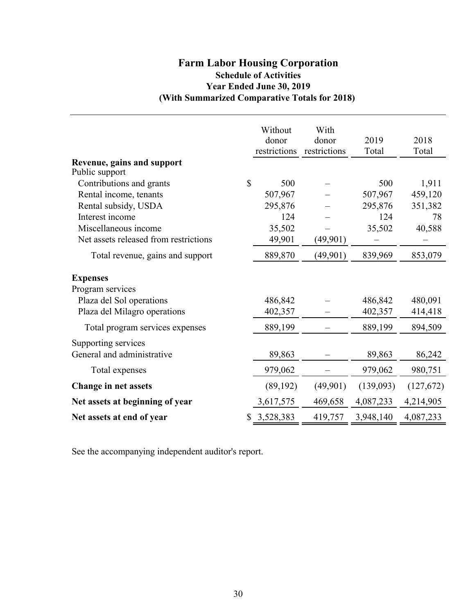# **(With Summarized Comparative Totals for 2018) Farm Labor Housing Corporation Schedule of Activities Year Ended June 30, 2019**

|                                            |              | Without<br>donor<br>restrictions | With<br>donor<br>restrictions | 2019<br>Total | 2018<br>Total |
|--------------------------------------------|--------------|----------------------------------|-------------------------------|---------------|---------------|
| Revenue, gains and support                 |              |                                  |                               |               |               |
| Public support<br>Contributions and grants | $\mathbb{S}$ | 500                              |                               | 500           | 1,911         |
| Rental income, tenants                     |              | 507,967                          |                               | 507,967       | 459,120       |
| Rental subsidy, USDA                       |              | 295,876                          |                               | 295,876       | 351,382       |
| Interest income                            |              | 124                              |                               | 124           | 78            |
| Miscellaneous income                       |              | 35,502                           |                               | 35,502        | 40,588        |
| Net assets released from restrictions      |              | 49,901                           | (49,901)                      |               |               |
| Total revenue, gains and support           |              | 889,870                          | (49, 901)                     | 839,969       | 853,079       |
| <b>Expenses</b>                            |              |                                  |                               |               |               |
| Program services                           |              |                                  |                               |               |               |
| Plaza del Sol operations                   |              | 486,842                          |                               | 486,842       | 480,091       |
| Plaza del Milagro operations               |              | 402,357                          |                               | 402,357       | 414,418       |
| Total program services expenses            |              | 889,199                          |                               | 889,199       | 894,509       |
| Supporting services                        |              |                                  |                               |               |               |
| General and administrative                 |              | 89,863                           |                               | 89,863        | 86,242        |
| Total expenses                             |              | 979,062                          |                               | 979,062       | 980,751       |
| <b>Change in net assets</b>                |              | (89, 192)                        | (49,901)                      | (139,093)     | (127,672)     |
| Net assets at beginning of year            |              | 3,617,575                        | 469,658                       | 4,087,233     | 4,214,905     |
| Net assets at end of year                  | \$           | 3,528,383                        | 419,757                       | 3,948,140     | 4,087,233     |